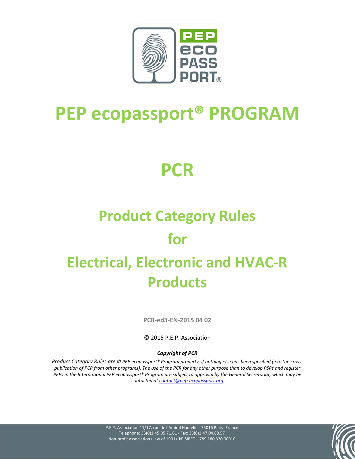

## **PEP ecopassport® PROGRAM**

## **PCR**

# **Product Category Rules**

## **for**

## **Electrical, Electronic and HVAC-R Products**

**PCR-ed3-EN-2015 04 02**

© 2015 P.E.P. Association

#### *Copyright of PCR*

*Product Category Rules are © PEP ecopassport® Program property, if nothing else has been specified (e.g. the crosspublication of PCR from other programs). The use of the PCR for any other purpose than to develop PSRs and register PEPs in the International PEP ecopassport® Program are subject to approval by the General Secretariat, which may be contacted a[t contact@pep-ecopassport.org](mailto:contact@pep-ecopassport.org)*

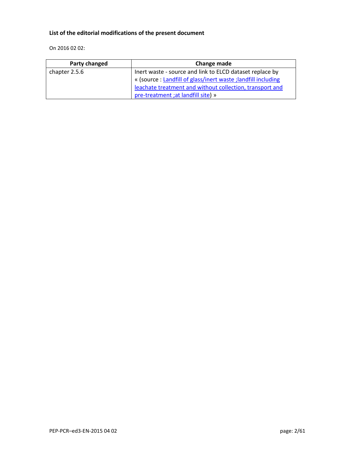#### **List of the editorial modifications of the present document**

On 2016 02 02:

| Party changed | Change made                                                    |
|---------------|----------------------------------------------------------------|
| chapter 2.5.6 | Inert waste - source and link to ELCD dataset replace by       |
|               | « (source : Landfill of glass/inert waste ; landfill including |
|               | leachate treatment and without collection, transport and       |
|               | pre-treatment ; at landfill site) »                            |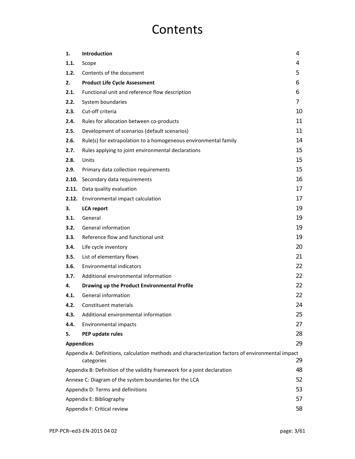## **Contents**

| 1.   | Introduction                                                                                                    | 4  |  |  |  |
|------|-----------------------------------------------------------------------------------------------------------------|----|--|--|--|
| 1.1. | Scope                                                                                                           | 4  |  |  |  |
| 1.2. | Contents of the document                                                                                        | 5  |  |  |  |
| 2.   | <b>Product Life Cycle Assessment</b>                                                                            | 6  |  |  |  |
| 2.1. | Functional unit and reference flow description                                                                  | 6  |  |  |  |
| 2.2. | System boundaries                                                                                               | 7  |  |  |  |
| 2.3. | Cut-off criteria                                                                                                | 10 |  |  |  |
| 2.4. | Rules for allocation between co-products                                                                        | 11 |  |  |  |
| 2.5. | Development of scenarios (default scenarios)                                                                    | 11 |  |  |  |
| 2.6. | Rule(s) for extrapolation to a homogeneous environmental family                                                 | 14 |  |  |  |
| 2.7. | Rules applying to joint environmental declarations                                                              | 15 |  |  |  |
| 2.8. | Units                                                                                                           | 15 |  |  |  |
| 2.9. | Primary data collection requirements                                                                            | 15 |  |  |  |
|      | 2.10. Secondary data requirements                                                                               | 16 |  |  |  |
|      | 2.11. Data quality evaluation                                                                                   | 17 |  |  |  |
|      | 2.12. Environmental impact calculation                                                                          | 17 |  |  |  |
| З.   | <b>LCA</b> report                                                                                               | 19 |  |  |  |
| 3.1. | General                                                                                                         | 19 |  |  |  |
| 3.2. | <b>General information</b>                                                                                      | 19 |  |  |  |
| 3.3. | Reference flow and functional unit                                                                              | 19 |  |  |  |
| 3.4. | Life cycle inventory                                                                                            | 20 |  |  |  |
| 3.5. | List of elementary flows                                                                                        | 21 |  |  |  |
| 3.6. | Environmental indicators                                                                                        | 22 |  |  |  |
| 3.7. | Additional environmental information                                                                            | 22 |  |  |  |
| 4.   | Drawing up the Product Environmental Profile                                                                    | 22 |  |  |  |
| 4.1. | General information                                                                                             | 22 |  |  |  |
| 4.2. | Constituent materials                                                                                           | 24 |  |  |  |
| 4.3. | Additional environmental information                                                                            | 25 |  |  |  |
| 4.4. | Environmental impacts                                                                                           | 27 |  |  |  |
| 5.   | PEP update rules                                                                                                | 28 |  |  |  |
|      | <b>Appendices</b>                                                                                               | 29 |  |  |  |
|      | Appendix A: Definitions, calculation methods and characterization factors of environmental impact<br>categories | 29 |  |  |  |
|      | Appendix B: Definition of the validity framework for a joint declaration                                        | 48 |  |  |  |
|      | 52<br>Annexe C: Diagram of the system boundaries for the LCA                                                    |    |  |  |  |
|      | Appendix D: Terms and definitions                                                                               | 53 |  |  |  |
|      | Appendix E: Bibliography<br>57                                                                                  |    |  |  |  |
|      | Appendix F: Critical review                                                                                     | 58 |  |  |  |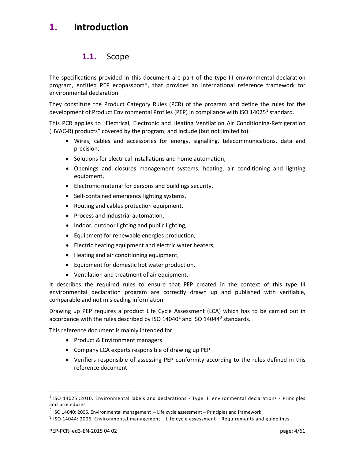## <span id="page-3-1"></span><span id="page-3-0"></span>**1. Introduction**

## **1.1.** Scope

The specifications provided in this document are part of the type III environmental declaration program, entitled PEP ecopassport®, that provides an international reference framework for environmental declaration.

They constitute the Product Category Rules (PCR) of the program and define the rules for the development of Product Environmental Profiles (PEP) in compliance with ISO [1](#page-3-2)4025<sup>1</sup> standard.

This PCR applies to "Electrical, Electronic and Heating Ventilation Air Conditioning-Refrigeration (HVAC-R) products" covered by the program, and include (but not limited to):

- Wires, cables and accessories for energy, signalling, telecommunications, data and precision,
- Solutions for electrical installations and home automation,
- Openings and closures management systems, heating, air conditioning and lighting equipment,
- Electronic material for persons and buildings security,
- Self-contained emergency lighting systems,
- Routing and cables protection equipment,
- Process and industrial automation,
- Indoor, outdoor lighting and public lighting,
- Equipment for renewable energies production,
- Electric heating equipment and electric water heaters,
- Heating and air conditioning equipment,
- Equipment for domestic hot water production,
- Ventilation and treatment of air equipment,

It describes the required rules to ensure that PEP created in the context of this type III environmental declaration program are correctly drawn up and published with verifiable, comparable and not misleading information.

Drawing up PEP requires a product Life Cycle Assessment (LCA) which has to be carried out in accordance with the rules described by ISO 14040<sup>[2](#page-3-3)</sup> and ISO 14044<sup>3</sup> standards.

This reference document is mainly intended for:

- Product & Environment managers
- Company LCA experts responsible of drawing up PEP
- Verifiers responsible of assessing PEP conformity according to the rules defined in this reference document.

-

<span id="page-3-2"></span> $<sup>1</sup>$  ISO 14025 :2010. Environmental labels and declarations - Type III environmental declarations - Principles</sup> and procedures

<span id="page-3-3"></span> $2$  ISO 14040: 2006. Environmental management  $-$  Life cycle assessment  $-$  Principles and framework

<span id="page-3-4"></span> $3$  ISO 14044: 2006. Environmental management – Life cycle assessment – Requirements and guidelines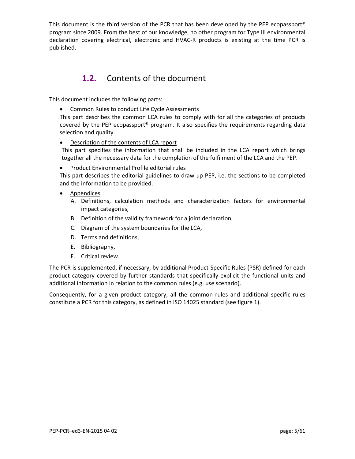<span id="page-4-0"></span>This document is the third version of the PCR that has been developed by the PEP ecopassport® program since 2009. From the best of our knowledge, no other program for Type III environmental declaration covering electrical, electronic and HVAC-R products is existing at the time PCR is published.

## **1.2.** Contents of the document

This document includes the following parts:

• Common Rules to conduct Life Cycle Assessments

This part describes the common LCA rules to comply with for all the categories of products covered by the PEP ecopassport® program. It also specifies the requirements regarding data selection and quality.

• Description of the contents of LCA report

This part specifies the information that shall be included in the LCA report which brings together all the necessary data for the completion of the fulfilment of the LCA and the PEP.

• Product Environmental Profile editorial rules

This part describes the editorial guidelines to draw up PEP, i.e. the sections to be completed and the information to be provided.

- Appendices
	- A. Definitions, calculation methods and characterization factors for environmental impact categories,
	- B. Definition of the validity framework for a joint declaration,
	- C. Diagram of the system boundaries for the LCA,
	- D. Terms and definitions,
	- E. Bibliography,
	- F. Critical review.

The PCR is supplemented, if necessary, by additional Product-Specific Rules (PSR) defined for each product category covered by further standards that specifically explicit the functional units and additional information in relation to the common rules (e.g. use scenario).

Consequently, for a given product category, all the common rules and additional specific rules constitute a PCR for this category, as defined in ISO 14025 standard (see figure 1).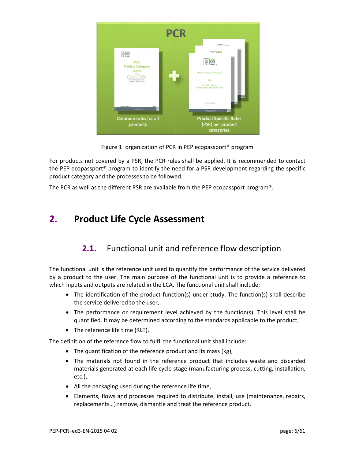

Figure 1: organization of PCR in PEP ecopassport® program

For products not covered by a PSR, the PCR rules shall be applied. It is recommended to contact the PEP ecopassport® program to identify the need for a PSR development regarding the specific product category and the processes to be followed.

<span id="page-5-0"></span>The PCR as well as the different PSR are available from the PEP ecopassport program®.

## <span id="page-5-1"></span>**2. Product Life Cycle Assessment**

## **2.1.** Functional unit and reference flow description

The functional unit is the reference unit used to quantify the performance of the service delivered by a product to the user. The main purpose of the functional unit is to provide a reference to which inputs and outputs are related in the LCA. The functional unit shall include:

- The identification of the product function(s) under study. The function(s) shall describe the service delivered to the user,
- The performance or requirement level achieved by the function(s). This level shall be quantified. It may be determined according to the standards applicable to the product,
- The reference life time (RLT).

The definition of the reference flow to fulfil the functional unit shall include:

- The quantification of the reference product and its mass (kg),
- The materials not found in the reference product that includes waste and discarded materials generated at each life cycle stage (manufacturing process, cutting, installation, etc.),
- All the packaging used during the reference life time,
- Elements, flows and processes required to distribute, install, use (maintenance, repairs, replacements…) remove, dismantle and treat the reference product.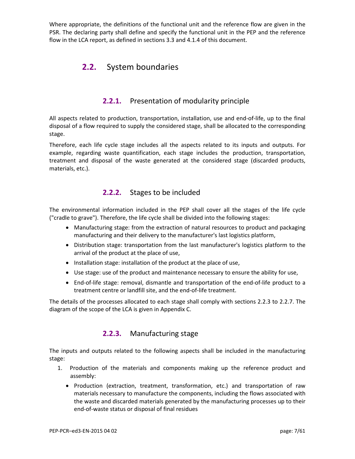<span id="page-6-0"></span>Where appropriate, the definitions of the functional unit and the reference flow are given in the PSR. The declaring party shall define and specify the functional unit in the PEP and the reference flow in the LCA report, as defined in sections 3.3 and 4.1.4 of this document.

## **2.2.** System boundaries

## **2.2.1.** Presentation of modularity principle

All aspects related to production, transportation, installation, use and end-of-life, up to the final disposal of a flow required to supply the considered stage, shall be allocated to the corresponding stage.

Therefore, each life cycle stage includes all the aspects related to its inputs and outputs. For example, regarding waste quantification, each stage includes the production, transportation, treatment and disposal of the waste generated at the considered stage (discarded products, materials, etc.).

## **2.2.2.** Stages to be included

The environmental information included in the PEP shall cover all the stages of the life cycle ("cradle to grave"). Therefore, the life cycle shall be divided into the following stages:

- Manufacturing stage: from the extraction of natural resources to product and packaging manufacturing and their delivery to the manufacturer's last logistics platform,
- Distribution stage: transportation from the last manufacturer's logistics platform to the arrival of the product at the place of use,
- Installation stage: installation of the product at the place of use,
- Use stage: use of the product and maintenance necessary to ensure the ability for use,
- End-of-life stage: removal, dismantle and transportation of the end-of-life product to a treatment centre or landfill site, and the end-of-life treatment.

The details of the processes allocated to each stage shall comply with sections 2.2.3 to 2.2.7. The diagram of the scope of the LCA is given in Appendix C.

## **2.2.3.** Manufacturing stage

The inputs and outputs related to the following aspects shall be included in the manufacturing stage:

- 1. Production of the materials and components making up the reference product and assembly:
	- Production (extraction, treatment, transformation, etc.) and transportation of raw materials necessary to manufacture the components, including the flows associated with the waste and discarded materials generated by the manufacturing processes up to their end-of-waste status or disposal of final residues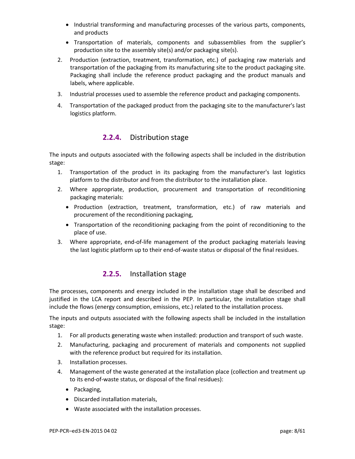- Industrial transforming and manufacturing processes of the various parts, components, and products
- Transportation of materials, components and subassemblies from the supplier's production site to the assembly site(s) and/or packaging site(s).
- 2. Production (extraction, treatment, transformation, etc.) of packaging raw materials and transportation of the packaging from its manufacturing site to the product packaging site. Packaging shall include the reference product packaging and the product manuals and labels, where applicable.
- 3. Industrial processes used to assemble the reference product and packaging components.
- 4. Transportation of the packaged product from the packaging site to the manufacturer's last logistics platform.

## **2.2.4.** Distribution stage

The inputs and outputs associated with the following aspects shall be included in the distribution stage:

- 1. Transportation of the product in its packaging from the manufacturer's last logistics platform to the distributor and from the distributor to the installation place.
- 2. Where appropriate, production, procurement and transportation of reconditioning packaging materials:
	- Production (extraction, treatment, transformation, etc.) of raw materials and procurement of the reconditioning packaging,
	- Transportation of the reconditioning packaging from the point of reconditioning to the place of use.
- 3. Where appropriate, end-of-life management of the product packaging materials leaving the last logistic platform up to their end-of-waste status or disposal of the final residues.

## **2.2.5.** Installation stage

The processes, components and energy included in the installation stage shall be described and justified in the LCA report and described in the PEP. In particular, the installation stage shall include the flows (energy consumption, emissions, etc.) related to the installation process.

The inputs and outputs associated with the following aspects shall be included in the installation stage:

- 1. For all products generating waste when installed: production and transport of such waste.
- 2. Manufacturing, packaging and procurement of materials and components not supplied with the reference product but required for its installation.
- 3. Installation processes.
- 4. Management of the waste generated at the installation place (collection and treatment up to its end-of-waste status, or disposal of the final residues):
	- Packaging,
	- Discarded installation materials,
	- Waste associated with the installation processes.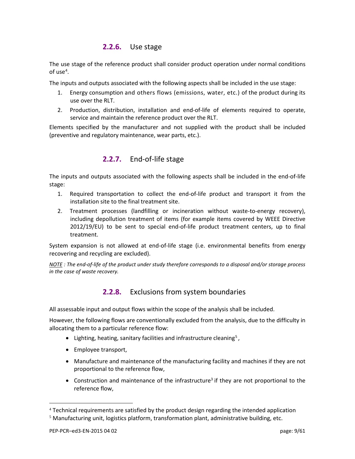## **2.2.6.** Use stage

The use stage of the reference product shall consider product operation under normal conditions of use<sup>[4](#page-8-0)</sup>.

The inputs and outputs associated with the following aspects shall be included in the use stage:

- 1. Energy consumption and others flows (emissions, water, etc.) of the product during its use over the RLT.
- 2. Production, distribution, installation and end-of-life of elements required to operate, service and maintain the reference product over the RLT.

Elements specified by the manufacturer and not supplied with the product shall be included (preventive and regulatory maintenance, wear parts, etc.).

## **2.2.7.** End-of-life stage

The inputs and outputs associated with the following aspects shall be included in the end-of-life stage:

- 1. Required transportation to collect the end-of-life product and transport it from the installation site to the final treatment site.
- 2. Treatment processes (landfilling or incineration without waste-to-energy recovery), including depollution treatment of items (for example items covered by WEEE Directive 2012/19/EU) to be sent to special end-of-life product treatment centers, up to final treatment.

System expansion is not allowed at end-of-life stage (i.e. environmental benefits from energy recovering and recycling are excluded).

*NOTE : The end-of-life of the product under study therefore corresponds to a disposal and/or storage process in the case of waste recovery.* 

## **2.2.8.** Exclusions from system boundaries

All assessable input and output flows within the scope of the analysis shall be included.

However, the following flows are conventionally excluded from the analysis, due to the difficulty in allocating them to a particular reference flow:

- Lighting, heating, sanitary facilities and infrastructure cleaning<sup>[5](#page-8-1)</sup>,
- Employee transport,
- Manufacture and maintenance of the manufacturing facility and machines if they are not proportional to the reference flow,
- Construction and maintenance of the infrastructure<sup>3</sup> if they are not proportional to the reference flow,

<u>.</u>

<span id="page-8-0"></span><sup>4</sup> Technical requirements are satisfied by the product design regarding the intended application

<span id="page-8-1"></span> $<sup>5</sup>$  Manufacturing unit, logistics platform, transformation plant, administrative building, etc.</sup>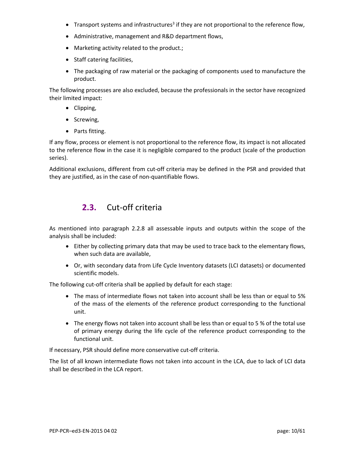- Transport systems and infrastructures<sup>3</sup> if they are not proportional to the reference flow,
- Administrative, management and R&D department flows,
- Marketing activity related to the product.;
- Staff catering facilities,
- The packaging of raw material or the packaging of components used to manufacture the product.

The following processes are also excluded, because the professionals in the sector have recognized their limited impact:

- Clipping,
- Screwing,
- Parts fitting.

If any flow, process or element is not proportional to the reference flow, its impact is not allocated to the reference flow in the case it is negligible compared to the product (scale of the production series).

<span id="page-9-0"></span>Additional exclusions, different from cut-off criteria may be defined in the PSR and provided that they are justified, as in the case of non-quantifiable flows.

## **2.3.** Cut-off criteria

As mentioned into paragraph 2.2.8 all assessable inputs and outputs within the scope of the analysis shall be included:

- Either by collecting primary data that may be used to trace back to the elementary flows, when such data are available,
- Or, with secondary data from Life Cycle Inventory datasets (LCI datasets) or documented scientific models.

The following cut-off criteria shall be applied by default for each stage:

- The mass of intermediate flows not taken into account shall be less than or equal to 5% of the mass of the elements of the reference product corresponding to the functional unit.
- The energy flows not taken into account shall be less than or equal to 5 % of the total use of primary energy during the life cycle of the reference product corresponding to the functional unit.

If necessary, PSR should define more conservative cut-off criteria.

<span id="page-9-1"></span>The list of all known intermediate flows not taken into account in the LCA, due to lack of LCI data shall be described in the LCA report.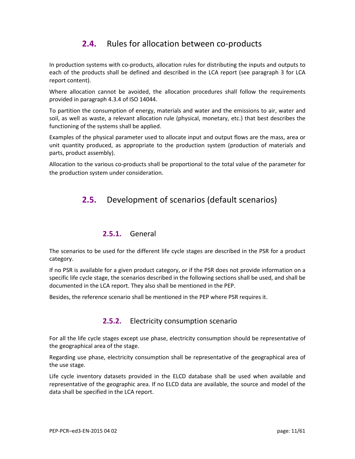## **2.4.** Rules for allocation between co-products

In production systems with co-products, allocation rules for distributing the inputs and outputs to each of the products shall be defined and described in the LCA report (see paragraph 3 for LCA report content).

Where allocation cannot be avoided, the allocation procedures shall follow the requirements provided in paragraph 4.3.4 of ISO 14044.

To partition the consumption of energy, materials and water and the emissions to air, water and soil, as well as waste, a relevant allocation rule (physical, monetary, etc.) that best describes the functioning of the systems shall be applied.

Examples of the physical parameter used to allocate input and output flows are the mass, area or unit quantity produced, as appropriate to the production system (production of materials and parts, product assembly).

<span id="page-10-0"></span>Allocation to the various co-products shall be proportional to the total value of the parameter for the production system under consideration.

## **2.5.** Development of scenarios (default scenarios)

#### **2.5.1.** General

The scenarios to be used for the different life cycle stages are described in the PSR for a product category.

If no PSR is available for a given product category, or if the PSR does not provide information on a specific life cycle stage, the scenarios described in the following sections shall be used, and shall be documented in the LCA report. They also shall be mentioned in the PEP.

Besides, the reference scenario shall be mentioned in the PEP where PSR requires it.

## **2.5.2.** Electricity consumption scenario

For all the life cycle stages except use phase, electricity consumption should be representative of the geographical area of the stage.

Regarding use phase, electricity consumption shall be representative of the geographical area of the use stage.

Life cycle inventory datasets provided in the ELCD database shall be used when available and representative of the geographic area. If no ELCD data are available, the source and model of the data shall be specified in the LCA report.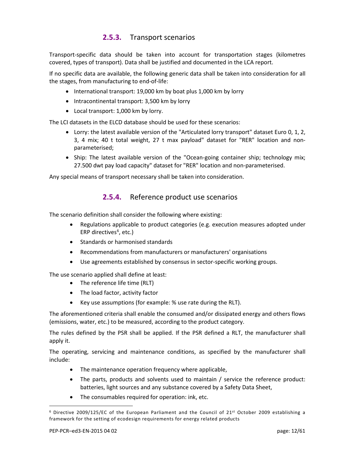## **2.5.3.** Transport scenarios

Transport-specific data should be taken into account for transportation stages (kilometres covered, types of transport). Data shall be justified and documented in the LCA report.

If no specific data are available, the following generic data shall be taken into consideration for all the stages, from manufacturing to end-of-life:

- International transport: 19,000 km by boat plus 1,000 km by lorry
- Intracontinental transport: 3,500 km by lorry
- Local transport: 1,000 km by lorry.

The LCI datasets in the ELCD database should be used for these scenarios:

- Lorry: the latest available version of the "Articulated lorry transport" dataset Euro 0, 1, 2, 3, 4 mix; 40 t total weight, 27 t max payload" dataset for "RER" location and nonparameterised;
- Ship: The latest available version of the "Ocean-going container ship; technology mix; 27.500 dwt pay load capacity" dataset for "RER" location and non-parameterised.

Any special means of transport necessary shall be taken into consideration.

#### **2.5.4.** Reference product use scenarios

The scenario definition shall consider the following where existing:

- Regulations applicable to product categories (e.g. execution measures adopted under ERP directives<sup>[6](#page-11-0)</sup>, etc.)
- Standards or harmonised standards
- Recommendations from manufacturers or manufacturers' organisations
- Use agreements established by consensus in sector-specific working groups.

The use scenario applied shall define at least:

- The reference life time (RLT)
- The load factor, activity factor
- Key use assumptions (for example: % use rate during the RLT).

The aforementioned criteria shall enable the consumed and/or dissipated energy and others flows (emissions, water, etc.) to be measured, according to the product category.

The rules defined by the PSR shall be applied. If the PSR defined a RLT, the manufacturer shall apply it.

The operating, servicing and maintenance conditions, as specified by the manufacturer shall include:

- The maintenance operation frequency where applicable,
- The parts, products and solvents used to maintain / service the reference product: batteries, light sources and any substance covered by a Safety Data Sheet,
- The consumables required for operation: ink, etc.

<u>.</u>

<span id="page-11-0"></span><sup>6</sup> Directive 2009/125/EC of the European Parliament and the Council of 21st October 2009 establishing a framework for the setting of ecodesign requirements for energy related products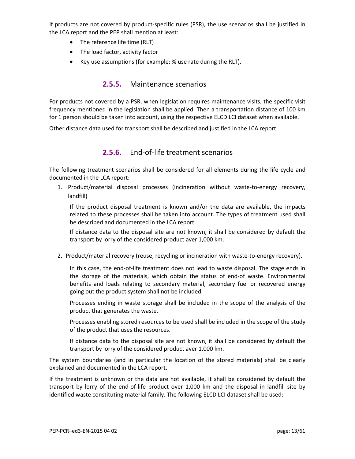If products are not covered by product-specific rules (PSR), the use scenarios shall be justified in the LCA report and the PEP shall mention at least:

- The reference life time (RLT)
- The load factor, activity factor
- Key use assumptions (for example: % use rate during the RLT).

#### **2.5.5.** Maintenance scenarios

For products not covered by a PSR, when legislation requires maintenance visits, the specific visit frequency mentioned in the legislation shall be applied. Then a transportation distance of 100 km for 1 person should be taken into account, using the respective ELCD LCI dataset when available.

Other distance data used for transport shall be described and justified in the LCA report.

## **2.5.6.** End-of-life treatment scenarios

The following treatment scenarios shall be considered for all elements during the life cycle and documented in the LCA report:

1. Product/material disposal processes (incineration without waste-to-energy recovery, landfill)

If the product disposal treatment is known and/or the data are available, the impacts related to these processes shall be taken into account. The types of treatment used shall be described and documented in the LCA report.

If distance data to the disposal site are not known, it shall be considered by default the transport by lorry of the considered product aver 1,000 km.

2. Product/material recovery (reuse, recycling or incineration with waste-to-energy recovery).

In this case, the end-of-life treatment does not lead to waste disposal. The stage ends in the storage of the materials, which obtain the status of end-of waste. Environmental benefits and loads relating to secondary material, secondary fuel or recovered energy going out the product system shall not be included.

Processes ending in waste storage shall be included in the scope of the analysis of the product that generates the waste.

Processes enabling stored resources to be used shall be included in the scope of the study of the product that uses the resources.

If distance data to the disposal site are not known, it shall be considered by default the transport by lorry of the considered product aver 1,000 km.

The system boundaries (and in particular the location of the stored materials) shall be clearly explained and documented in the LCA report.

If the treatment is unknown or the data are not available, it shall be considered by default the transport by lorry of the end-of-life product over 1,000 km and the disposal in landfill site by identified waste constituting material family. The following ELCD LCI dataset shall be used: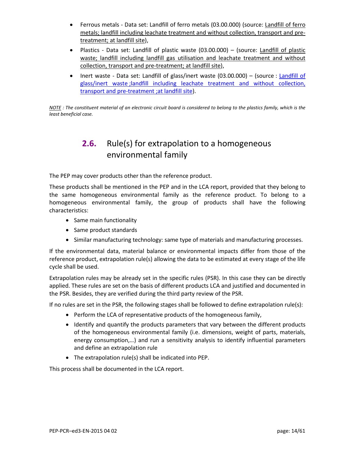- Ferrous metals Data set: [Landfill of ferro](http://elcd.jrc.ec.europa.eu/ELCD3/showProcess.xhtml?uuid=64197301-3307-11dd-bd11-0800200c9a66&version=03.00.000) metals (03.00.000) (source: Landfill of ferro [metals; landfill including leachate treatment and without collection, transport and pre](http://elcd.jrc.ec.europa.eu/ELCD3/showProcess.xhtml?uuid=64197301-3307-11dd-bd11-0800200c9a66&version=03.00.000)[treatment; at landfill site\)](http://elcd.jrc.ec.europa.eu/ELCD3/showProcess.xhtml?uuid=64197301-3307-11dd-bd11-0800200c9a66&version=03.00.000),
- Plastics Data set: Landfill of plastic waste (03.00.000) (source: [Landfill of plastic](http://elcd.jrc.ec.europa.eu/ELCD3/showProcess.xhtml?uuid=64197300-3307-11dd-bd11-0800200c9a66&version=03.00.000)  [waste; landfill including landfill gas utilisation and](http://elcd.jrc.ec.europa.eu/ELCD3/showProcess.xhtml?uuid=64197300-3307-11dd-bd11-0800200c9a66&version=03.00.000) leachate treatment and without [collection, transport and pre-treatment; at landfill site\)](http://elcd.jrc.ec.europa.eu/ELCD3/showProcess.xhtml?uuid=64197300-3307-11dd-bd11-0800200c9a66&version=03.00.000),
- Inert waste Data set: [Landfill of](http://eplca.jrc.ec.europa.eu/ELCD3/processList.xhtml?stock=default) glass/inert waste (03.00.000) (source : Landfill of glass/inert waste [;landfill including leachate treatment and without collection,](http://eplca.jrc.ec.europa.eu/ELCD3/processList.xhtml?stock=default)  [transport and pre-treatment](http://eplca.jrc.ec.europa.eu/ELCD3/processList.xhtml?stock=default) ;at landfill site).

<span id="page-13-0"></span>*NOTE : The constituent material of an electronic circuit board is considered to belong to the plastics family, which is the least beneficial case.*

## **2.6.** Rule(s) for extrapolation to a homogeneous environmental family

The PEP may cover products other than the reference product.

These products shall be mentioned in the PEP and in the LCA report, provided that they belong to the same homogeneous environmental family as the reference product. To belong to a homogeneous environmental family, the group of products shall have the following characteristics:

- Same main functionality
- Same product standards
- Similar manufacturing technology: same type of materials and manufacturing processes.

If the environmental data, material balance or environmental impacts differ from those of the reference product, extrapolation rule(s) allowing the data to be estimated at every stage of the life cycle shall be used.

Extrapolation rules may be already set in the specific rules (PSR). In this case they can be directly applied. These rules are set on the basis of different products LCA and justified and documented in the PSR. Besides, they are verified during the third party review of the PSR.

If no rules are set in the PSR, the following stages shall be followed to define extrapolation rule(s):

- Perform the LCA of representative products of the homogeneous family,
- Identify and quantify the products parameters that vary between the different products of the homogeneous environmental family (i.e. dimensions, weight of parts, materials, energy consumption,…) and run a sensitivity analysis to identify influential parameters and define an extrapolation rule
- The extrapolation rule(s) shall be indicated into PEP.

<span id="page-13-1"></span>This process shall be documented in the LCA report.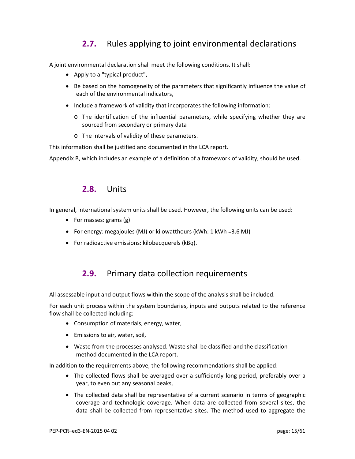## **2.7.** Rules applying to joint environmental declarations

A joint environmental declaration shall meet the following conditions. It shall:

- Apply to a "typical product",
- Be based on the homogeneity of the parameters that significantly influence the value of each of the environmental indicators,
- Include a framework of validity that incorporates the following information:
	- o The identification of the influential parameters, while specifying whether they are sourced from secondary or primary data
	- o The intervals of validity of these parameters.

This information shall be justified and documented in the LCA report.

<span id="page-14-0"></span>Appendix B, which includes an example of a definition of a framework of validity, should be used.

## **2.8.** Units

In general, international system units shall be used. However, the following units can be used:

- For masses: grams (g)
- For energy: megajoules (MJ) or kilowatthours (kWh: 1 kWh =3.6 MJ)
- <span id="page-14-1"></span>• For radioactive emissions: kilobecquerels (kBq).

## **2.9.** Primary data collection requirements

All assessable input and output flows within the scope of the analysis shall be included.

For each unit process within the system boundaries, inputs and outputs related to the reference flow shall be collected including:

- Consumption of materials, energy, water,
- Emissions to air, water, soil,
- Waste from the processes analysed. Waste shall be classified and the classification method documented in the LCA report.

In addition to the requirements above, the following recommendations shall be applied:

- The collected flows shall be averaged over a sufficiently long period, preferably over a year, to even out any seasonal peaks,
- The collected data shall be representative of a current scenario in terms of geographic coverage and technologic coverage. When data are collected from several sites, the data shall be collected from representative sites. The method used to aggregate the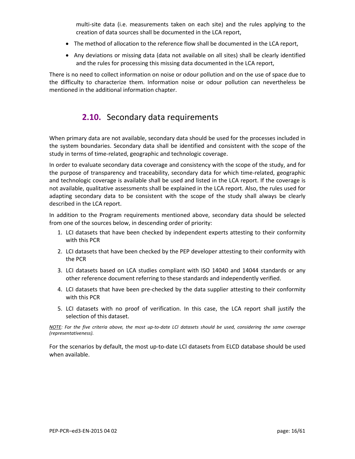multi-site data (i.e. measurements taken on each site) and the rules applying to the creation of data sources shall be documented in the LCA report,

- The method of allocation to the reference flow shall be documented in the LCA report,
- Any deviations or missing data (data not available on all sites) shall be clearly identified and the rules for processing this missing data documented in the LCA report,

<span id="page-15-0"></span>There is no need to collect information on noise or odour pollution and on the use of space due to the difficulty to characterize them. Information noise or odour pollution can nevertheless be mentioned in the additional information chapter.

## **2.10.** Secondary data requirements

When primary data are not available, secondary data should be used for the processes included in the system boundaries. Secondary data shall be identified and consistent with the scope of the study in terms of time-related, geographic and technologic coverage.

In order to evaluate secondary data coverage and consistency with the scope of the study, and for the purpose of transparency and traceability, secondary data for which time-related, geographic and technologic coverage is available shall be used and listed in the LCA report. If the coverage is not available, qualitative assessments shall be explained in the LCA report. Also, the rules used for adapting secondary data to be consistent with the scope of the study shall always be clearly described in the LCA report.

In addition to the Program requirements mentioned above, secondary data should be selected from one of the sources below, in descending order of priority:

- 1. LCI datasets that have been checked by independent experts attesting to their conformity with this PCR
- 2. LCI datasets that have been checked by the PEP developer attesting to their conformity with the PCR
- 3. LCI datasets based on LCA studies compliant with ISO 14040 and 14044 standards or any other reference document referring to these standards and independently verified.
- 4. LCI datasets that have been pre-checked by the data supplier attesting to their conformity with this PCR
- 5. LCI datasets with no proof of verification. In this case, the LCA report shall justify the selection of this dataset.

*NOTE: For the five criteria above, the most up-to-date LCI datasets should be used, considering the same coverage (representativeness).*

<span id="page-15-1"></span>For the scenarios by default, the most up-to-date LCI datasets from ELCD database should be used when available.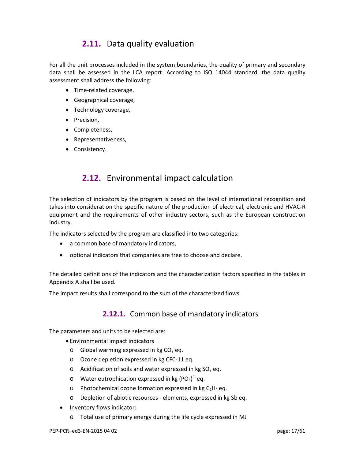## **2.11.** Data quality evaluation

For all the unit processes included in the system boundaries, the quality of primary and secondary data shall be assessed in the LCA report. According to ISO 14044 standard, the data quality assessment shall address the following:

- Time-related coverage,
- Geographical coverage,
- Technology coverage,
- Precision,
- Completeness,
- Representativeness,
- <span id="page-16-0"></span>• Consistency.

## **2.12.** Environmental impact calculation

The selection of indicators by the program is based on the level of international recognition and takes into consideration the specific nature of the production of electrical, electronic and HVAC-R equipment and the requirements of other industry sectors, such as the European construction industry.

The indicators selected by the program are classified into two categories:

- a common base of mandatory indicators,
- optional indicators that companies are free to choose and declare.

The detailed definitions of the indicators and the characterization factors specified in the tables in Appendix A shall be used.

The impact results shall correspond to the sum of the characterized flows.

#### **2.12.1.** Common base of mandatory indicators

The parameters and units to be selected are:

- Environmental impact indicators
	- $\circ$  Global warming expressed in kg CO<sub>2</sub> eq.
	- o Ozone depletion expressed in kg CFC-11 eq.
	- $\circ$  Acidification of soils and water expressed in kg SO<sub>2</sub> eq.
	- $\circ$  Water eutrophication expressed in kg (PO<sub>4</sub>)<sup>3-</sup> eq.
	- $\circ$  Photochemical ozone formation expressed in kg C<sub>2</sub>H<sub>4</sub> eq.
	- o Depletion of abiotic resources elements, expressed in kg Sb eq.
- Inventory flows indicator:
	- o Total use of primary energy during the life cycle expressed in MJ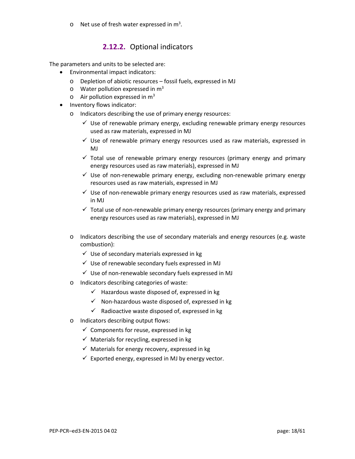$\circ$  Net use of fresh water expressed in m<sup>3</sup>.

## **2.12.2.** Optional indicators

The parameters and units to be selected are:

- Environmental impact indicators:
	- o Depletion of abiotic resources fossil fuels, expressed in MJ
	- $\circ$  Water pollution expressed in  $m<sup>3</sup>$
	- $\circ$  Air pollution expressed in m<sup>3</sup>
- <span id="page-17-0"></span>• Inventory flows indicator:
	- o Indicators describing the use of primary energy resources:
		- $\checkmark$  Use of renewable primary energy, excluding renewable primary energy resources used as raw materials, expressed in MJ
		- $\checkmark$  Use of renewable primary energy resources used as raw materials, expressed in MJ
		- $\checkmark$  Total use of renewable primary energy resources (primary energy and primary energy resources used as raw materials), expressed in MJ
		- $\checkmark$  Use of non-renewable primary energy, excluding non-renewable primary energy resources used as raw materials, expressed in MJ
		- $\checkmark$  Use of non-renewable primary energy resources used as raw materials, expressed in MJ
		- $\checkmark$  Total use of non-renewable primary energy resources (primary energy and primary energy resources used as raw materials), expressed in MJ
	- o Indicators describing the use of secondary materials and energy resources (e.g. waste combustion):
		- $\checkmark$  Use of secondary materials expressed in kg
		- $\checkmark$  Use of renewable secondary fuels expressed in MJ
		- $\checkmark$  Use of non-renewable secondary fuels expressed in MJ
	- o Indicators describing categories of waste:
		- $\checkmark$  Hazardous waste disposed of, expressed in kg
		- $\checkmark$  Non-hazardous waste disposed of, expressed in kg
		- $\checkmark$  Radioactive waste disposed of, expressed in kg
	- o Indicators describing output flows:
		- $\checkmark$  Components for reuse, expressed in kg
		- $\checkmark$  Materials for recycling, expressed in kg
		- $\checkmark$  Materials for energy recovery, expressed in kg
		- $\checkmark$  Exported energy, expressed in MJ by energy vector.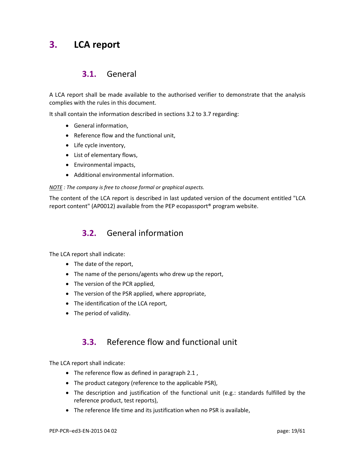## <span id="page-18-0"></span>**3. LCA report**

## **3.1.** General

A LCA report shall be made available to the authorised verifier to demonstrate that the analysis complies with the rules in this document.

It shall contain the information described in sections 3.2 to 3.7 regarding:

- General information,
- Reference flow and the functional unit,
- Life cycle inventory,
- List of elementary flows,
- Environmental impacts,
- Additional environmental information.

#### *NOTE : The company is free to choose formal or graphical aspects.*

<span id="page-18-1"></span>The content of the LCA report is described in last updated version of the document entitled "LCA report content" (AP0012) available from the PEP ecopassport® program website.

## **3.2.** General information

The LCA report shall indicate:

- The date of the report,
- The name of the persons/agents who drew up the report,
- The version of the PCR applied,
- The version of the PSR applied, where appropriate,
- The identification of the LCA report,
- <span id="page-18-2"></span>• The period of validity.

## **3.3.** Reference flow and functional unit

The LCA report shall indicate:

- The reference flow as defined in paragraph 2.1 ,
- The product category (reference to the applicable PSR),
- The description and justification of the functional unit (e.g.: standards fulfilled by the reference product, test reports),
- The reference life time and its justification when no PSR is available,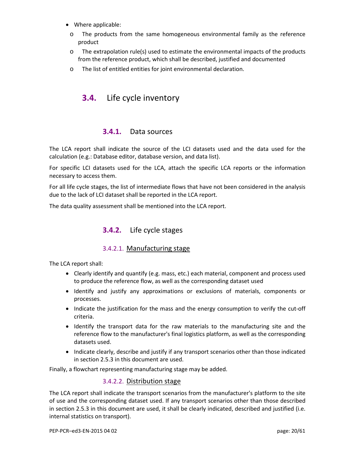- Where applicable:
- o The products from the same homogeneous environmental family as the reference product
- $\circ$  The extrapolation rule(s) used to estimate the environmental impacts of the products from the reference product, which shall be described, justified and documented
- <span id="page-19-0"></span>o The list of entitled entities for joint environmental declaration.

## **3.4.** Life cycle inventory

### **3.4.1.** Data sources

The LCA report shall indicate the source of the LCI datasets used and the data used for the calculation (e.g.: Database editor, database version, and data list).

For specific LCI datasets used for the LCA, attach the specific LCA reports or the information necessary to access them.

For all life cycle stages, the list of intermediate flows that have not been considered in the analysis due to the lack of LCI dataset shall be reported in the LCA report.

The data quality assessment shall be mentioned into the LCA report.

## **3.4.2.** Life cycle stages

#### 3.4.2.1. Manufacturing stage

The LCA report shall:

- Clearly identify and quantify (e.g. mass, etc.) each material, component and process used to produce the reference flow, as well as the corresponding dataset used
- Identify and justify any approximations or exclusions of materials, components or processes.
- Indicate the justification for the mass and the energy consumption to verify the cut-off criteria.
- Identify the transport data for the raw materials to the manufacturing site and the reference flow to the manufacturer's final logistics platform, as well as the corresponding datasets used.
- Indicate clearly, describe and justify if any transport scenarios other than those indicated in section 2.5.3 in this document are used.

Finally, a flowchart representing manufacturing stage may be added.

#### 3.4.2.2. Distribution stage

The LCA report shall indicate the transport scenarios from the manufacturer's platform to the site of use and the corresponding dataset used. If any transport scenarios other than those described in section 2.5.3 in this document are used, it shall be clearly indicated, described and justified (i.e. internal statistics on transport).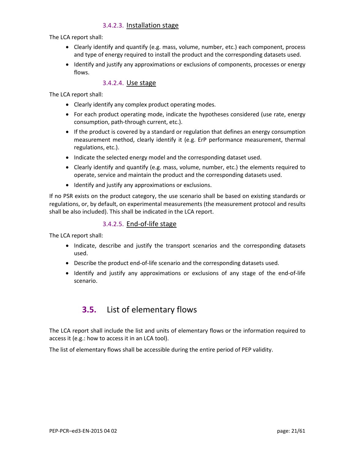#### 3.4.2.3. Installation stage

The LCA report shall:

- Clearly identify and quantify (e.g. mass, volume, number, etc.) each component, process and type of energy required to install the product and the corresponding datasets used.
- Identify and justify any approximations or exclusions of components, processes or energy flows.

#### 3.4.2.4. Use stage

The LCA report shall:

- Clearly identify any complex product operating modes.
- For each product operating mode, indicate the hypotheses considered (use rate, energy consumption, path-through current, etc.).
- If the product is covered by a standard or regulation that defines an energy consumption measurement method, clearly identify it (e.g. ErP performance measurement, thermal regulations, etc.).
- Indicate the selected energy model and the corresponding dataset used.
- Clearly identify and quantify (e.g. mass, volume, number, etc.) the elements required to operate, service and maintain the product and the corresponding datasets used.
- Identify and justify any approximations or exclusions.

If no PSR exists on the product category, the use scenario shall be based on existing standards or regulations, or, by default, on experimental measurements (the measurement protocol and results shall be also included). This shall be indicated in the LCA report.

#### 3.4.2.5. End-of-life stage

The LCA report shall:

- Indicate, describe and justify the transport scenarios and the corresponding datasets used.
- Describe the product end-of-life scenario and the corresponding datasets used.
- <span id="page-20-0"></span>• Identify and justify any approximations or exclusions of any stage of the end-of-life scenario.

## **3.5.** List of elementary flows

The LCA report shall include the list and units of elementary flows or the information required to access it (e.g.: how to access it in an LCA tool).

<span id="page-20-1"></span>The list of elementary flows shall be accessible during the entire period of PEP validity.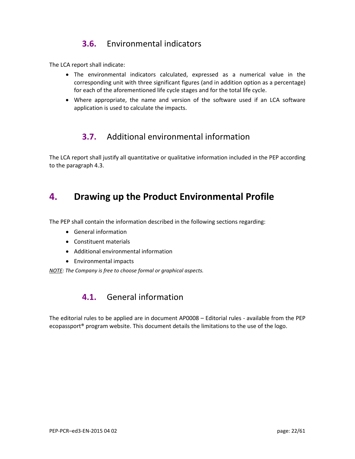## **3.6.** Environmental indicators

The LCA report shall indicate:

- The environmental indicators calculated, expressed as a numerical value in the corresponding unit with three significant figures (and in addition option as a percentage) for each of the aforementioned life cycle stages and for the total life cycle.
- <span id="page-21-0"></span>• Where appropriate, the name and version of the software used if an LCA software application is used to calculate the impacts.

## **3.7.** Additional environmental information

<span id="page-21-1"></span>The LCA report shall justify all quantitative or qualitative information included in the PEP according to the paragraph 4.3.

## **4. Drawing up the Product Environmental Profile**

The PEP shall contain the information described in the following sections regarding:

- General information
- Constituent materials
- Additional environmental information
- Environmental impacts

<span id="page-21-2"></span>*NOTE: The Company is free to choose formal or graphical aspects.*

## **4.1.** General information

The editorial rules to be applied are in document AP0008 – Editorial rules - available from the PEP ecopassport® program website. This document details the limitations to the use of the logo.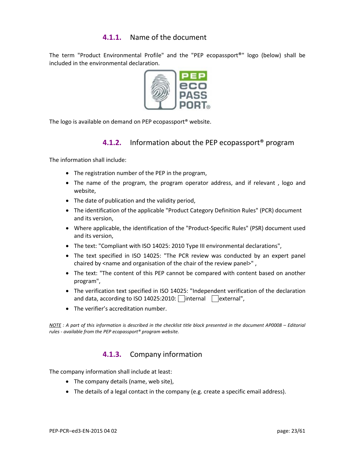## **4.1.1.** Name of the document

The term "Product Environmental Profile" and the "PEP ecopassport®" logo (below) shall be included in the environmental declaration.



The logo is available on demand on PEP ecopassport® website.

## **4.1.2.** Information about the PEP ecopassport® program

The information shall include:

- The registration number of the PEP in the program,
- The name of the program, the program operator address, and if relevant , logo and website,
- The date of publication and the validity period,
- The identification of the applicable "Product Category Definition Rules" (PCR) document and its version,
- Where applicable, the identification of the "Product-Specific Rules" (PSR) document used and its version,
- The text: "Compliant with ISO 14025: 2010 Type III environmental declarations",
- The text specified in ISO 14025: "The PCR review was conducted by an expert panel chaired by <name and organisation of the chair of the review panel>",
- The text: "The content of this PEP cannot be compared with content based on another program",
- The verification text specified in ISO 14025: "Independent verification of the declaration and data, according to ISO 14025:2010:  $\vert$  internal  $\vert$  external",
- The verifier's accreditation number.

*NOTE : A part of this information is described in the checklist title block presented in the document AP0008 – Editorial rules - available from the PEP ecopassport® program website.*

#### **4.1.3.** Company information

The company information shall include at least:

- The company details (name, web site),
- The details of a legal contact in the company (e.g. create a specific email address).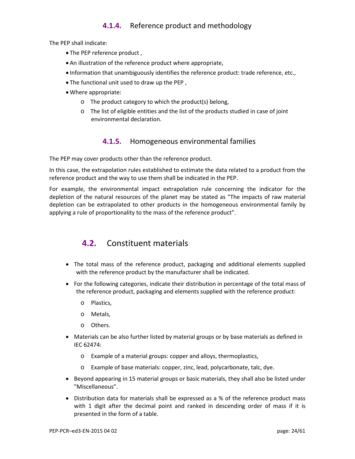## **4.1.4.** Reference product and methodology

The PEP shall indicate:

- The PEP reference product ,
- An illustration of the reference product where appropriate,
- Information that unambiguously identifies the reference product: trade reference, etc.,
- The functional unit used to draw up the PEP ,
- Where appropriate:
	- o The product category to which the product(s) belong,
	- o The list of eligible entities and the list of the products studied in case of joint environmental declaration.

### **4.1.5.** Homogeneous environmental families

The PEP may cover products other than the reference product.

In this case, the extrapolation rules established to estimate the data related to a product from the reference product and the way to use them shall be indicated in the PEP.

<span id="page-23-0"></span>For example, the environmental impact extrapolation rule concerning the indicator for the depletion of the natural resources of the planet may be stated as "The impacts of raw material depletion can be extrapolated to other products in the homogeneous environmental family by applying a rule of proportionality to the mass of the reference product".

## **4.2.** Constituent materials

- The total mass of the reference product, packaging and additional elements supplied with the reference product by the manufacturer shall be indicated.
- For the following categories, indicate their distribution in percentage of the total mass of the reference product, packaging and elements supplied with the reference product:
	- o Plastics,
	- o Metals,
	- o Others.
- Materials can be also further listed by material groups or by base materials as defined in IEC 62474:
	- o Example of a material groups: copper and alloys, thermoplastics,
	- o Example of base materials: copper, zinc, lead, polycarbonate, talc, dye.
- Beyond appearing in 15 material groups or basic materials, they shall also be listed under "Miscellaneous".
- Distribution data for materials shall be expressed as a % of the reference product mass with 1 digit after the decimal point and ranked in descending order of mass if it is presented in the form of a table.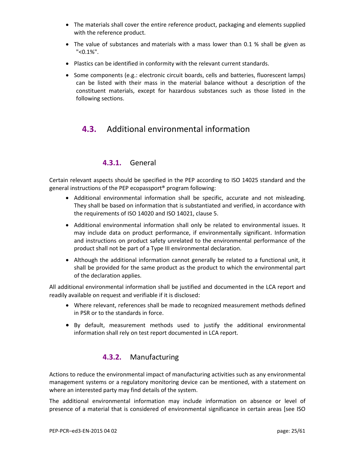- The materials shall cover the entire reference product, packaging and elements supplied with the reference product.
- The value of substances and materials with a mass lower than 0.1 % shall be given as "<0.1%".
- Plastics can be identified in conformity with the relevant current standards.
- <span id="page-24-0"></span>• Some components (e.g.: electronic circuit boards, cells and batteries, fluorescent lamps) can be listed with their mass in the material balance without a description of the constituent materials, except for hazardous substances such as those listed in the following sections.

## **4.3.** Additional environmental information

### **4.3.1.** General

Certain relevant aspects should be specified in the PEP according to ISO 14025 standard and the general instructions of the PEP ecopassport® program following:

- Additional environmental information shall be specific, accurate and not misleading. They shall be based on information that is substantiated and verified, in accordance with the requirements of ISO 14020 and ISO 14021, clause 5.
- Additional environmental information shall only be related to environmental issues. It may include data on product performance, if environmentally significant. Information and instructions on product safety unrelated to the environmental performance of the product shall not be part of a Type III environmental declaration.
- Although the additional information cannot generally be related to a functional unit, it shall be provided for the same product as the product to which the environmental part of the declaration applies.

All additional environmental information shall be justified and documented in the LCA report and readily available on request and verifiable if it is disclosed:

- Where relevant, references shall be made to recognized measurement methods defined in PSR or to the standards in force.
- By default, measurement methods used to justify the additional environmental information shall rely on test report documented in LCA report.

#### **4.3.2.** Manufacturing

Actions to reduce the environmental impact of manufacturing activities such as any environmental management systems or a regulatory monitoring device can be mentioned, with a statement on where an interested party may find details of the system.

The additional environmental information may include information on absence or level of presence of a material that is considered of environmental significance in certain areas [see ISO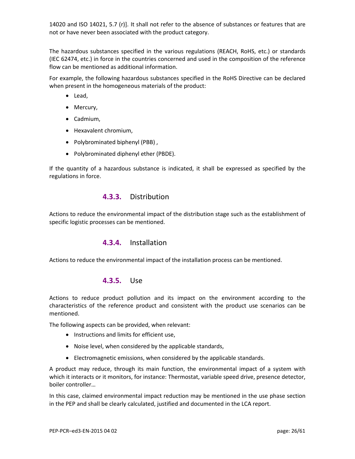14020 and ISO 14021, 5.7 (r)]. It shall not refer to the absence of substances or features that are not or have never been associated with the product category.

The hazardous substances specified in the various regulations (REACH, RoHS, etc.) or standards (IEC 62474, etc.) in force in the countries concerned and used in the composition of the reference flow can be mentioned as additional information.

For example, the following hazardous substances specified in the RoHS Directive can be declared when present in the homogeneous materials of the product:

- Lead,
- Mercury,
- Cadmium,
- Hexavalent chromium,
- Polybrominated biphenyl (PBB) ,
- Polybrominated diphenyl ether (PBDE).

If the quantity of a hazardous substance is indicated, it shall be expressed as specified by the regulations in force.

#### **4.3.3.** Distribution

Actions to reduce the environmental impact of the distribution stage such as the establishment of specific logistic processes can be mentioned.

#### **4.3.4.** Installation

Actions to reduce the environmental impact of the installation process can be mentioned.

#### **4.3.5.** Use

Actions to reduce product pollution and its impact on the environment according to the characteristics of the reference product and consistent with the product use scenarios can be mentioned.

The following aspects can be provided, when relevant:

- Instructions and limits for efficient use,
- Noise level, when considered by the applicable standards,
- Electromagnetic emissions, when considered by the applicable standards.

A product may reduce, through its main function, the environmental impact of a system with which it interacts or it monitors, for instance: Thermostat, variable speed drive, presence detector, boiler controller…

In this case, claimed environmental impact reduction may be mentioned in the use phase section in the PEP and shall be clearly calculated, justified and documented in the LCA report.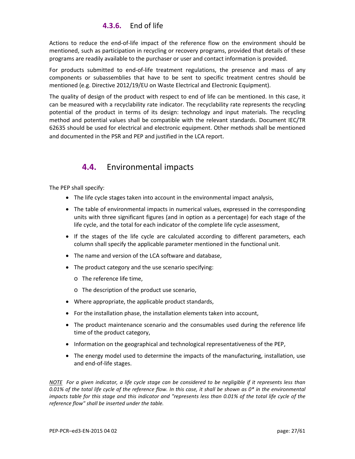## **4.3.6.** End of life

Actions to reduce the end-of-life impact of the reference flow on the environment should be mentioned, such as participation in recycling or recovery programs, provided that details of these programs are readily available to the purchaser or user and contact information is provided.

For products submitted to end-of-life treatment regulations, the presence and mass of any components or subassemblies that have to be sent to specific treatment centres should be mentioned (e.g. Directive 2012/19/EU on Waste Electrical and Electronic Equipment).

The quality of design of the product with respect to end of life can be mentioned. In this case, it can be measured with a recyclability rate indicator. The recyclability rate represents the recycling potential of the product in terms of its design: technology and input materials. The recycling method and potential values shall be compatible with the relevant standards. Document IEC/TR 62635 should be used for electrical and electronic equipment. Other methods shall be mentioned and documented in the PSR and PEP and justified in the LCA report.

## <span id="page-26-0"></span>**4.4.** Environmental impacts

The PEP shall specify:

- The life cycle stages taken into account in the environmental impact analysis,
- The table of environmental impacts in numerical values, expressed in the corresponding units with three significant figures (and in option as a percentage) for each stage of the life cycle, and the total for each indicator of the complete life cycle assessment,
- If the stages of the life cycle are calculated according to different parameters, each column shall specify the applicable parameter mentioned in the functional unit.
- The name and version of the LCA software and database,
- The product category and the use scenario specifying:
	- o The reference life time,
	- o The description of the product use scenario,
- Where appropriate, the applicable product standards,
- For the installation phase, the installation elements taken into account,
- The product maintenance scenario and the consumables used during the reference life time of the product category,
- Information on the geographical and technological representativeness of the PEP,
- The energy model used to determine the impacts of the manufacturing, installation, use and end-of-life stages.

*NOTE For a given indicator, a life cycle stage can be considered to be negligible if it represents less than 0.01% of the total life cycle of the reference flow. In this case, it shall be shown as 0\* in the environmental impacts table for this stage and this indicator and "represents less than 0.01% of the total life cycle of the reference flow" shall be inserted under the table.*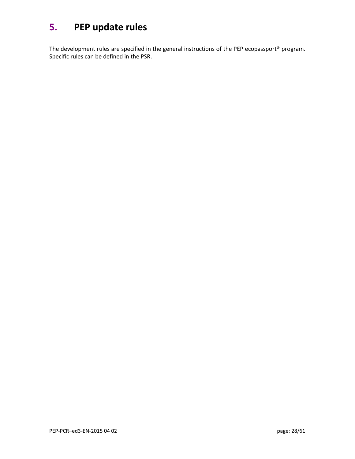## <span id="page-27-0"></span>**5. PEP update rules**

The development rules are specified in the general instructions of the PEP ecopassport® program. Specific rules can be defined in the PSR.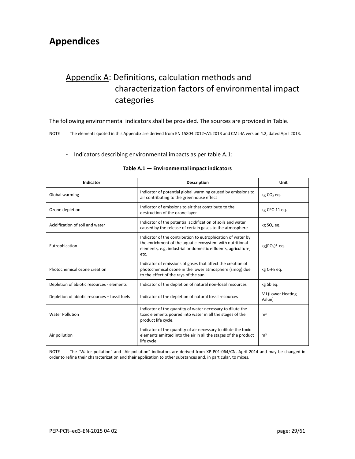## <span id="page-28-1"></span><span id="page-28-0"></span>**Appendices**

## Appendix A: Definitions, calculation methods and characterization factors of environmental impact categories

The following environmental indicators shall be provided. The sources are provided in Table.

NOTE The elements quoted in this Appendix are derived from EN 15804:2012+A1:2013 and CML-IA version 4.2, dated April 2013.

#### - Indicators describing environmental impacts as per table A.1:

| Indicator                                     | <b>Description</b>                                                                                                                                                                               | Unit                        |
|-----------------------------------------------|--------------------------------------------------------------------------------------------------------------------------------------------------------------------------------------------------|-----------------------------|
| Global warming                                | Indicator of potential global warming caused by emissions to<br>air contributing to the greenhouse effect                                                                                        | kg CO <sub>2</sub> eq.      |
| Ozone depletion                               | Indicator of emissions to air that contribute to the<br>destruction of the ozone layer                                                                                                           | kg CFC-11 eq.               |
| Acidification of soil and water               | Indicator of the potential acidification of soils and water<br>caused by the release of certain gases to the atmosphere                                                                          | kg SO <sub>2</sub> eq.      |
| Eutrophication                                | Indicator of the contribution to eutrophication of water by<br>the enrichment of the aquatic ecosystem with nutritional<br>elements, e.g. industrial or domestic effluents, agriculture,<br>etc. | $kg(PO4)3$ eq.              |
| Photochemical ozone creation                  | Indicator of emissions of gases that affect the creation of<br>photochemical ozone in the lower atmosphere (smog) due<br>to the effect of the rays of the sun.                                   | $kg C2H4$ eq.               |
| Depletion of abiotic resources - elements     | Indicator of the depletion of natural non-fossil resources                                                                                                                                       | kg Sb eq.                   |
| Depletion of abiotic resources – fossil fuels | Indicator of the depletion of natural fossil resources                                                                                                                                           | MJ (Lower Heating<br>Value) |
| <b>Water Pollution</b>                        | Indicator of the quantity of water necessary to dilute the<br>toxic elements poured into water in all the stages of the<br>product life cycle.                                                   | m <sup>3</sup>              |
| Air pollution                                 | Indicator of the quantity of air necessary to dilute the toxic<br>elements emitted into the air in all the stages of the product<br>life cycle.                                                  | m <sup>3</sup>              |

#### **Table A.1 — Environmental impact indicators**

NOTE The "Water pollution" and "Air pollution" indicators are derived from XP P01-064/CN, April 2014 and may be changed in order to refine their characterization and their application to other substances and, in particular, to mixes.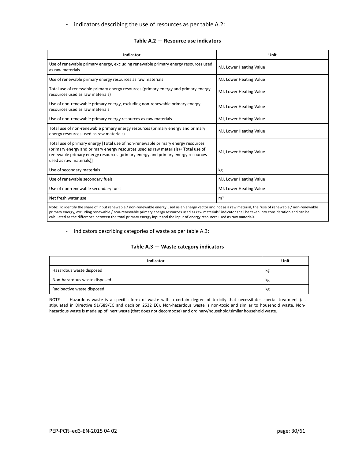- indicators describing the use of resources as per table A.2:

| Indicator                                                                                                                                                                                                                                                                           | Unit                    |
|-------------------------------------------------------------------------------------------------------------------------------------------------------------------------------------------------------------------------------------------------------------------------------------|-------------------------|
| Use of renewable primary energy, excluding renewable primary energy resources used<br>as raw materials                                                                                                                                                                              | MJ, Lower Heating Value |
| Use of renewable primary energy resources as raw materials                                                                                                                                                                                                                          | MJ, Lower Heating Value |
| Total use of renewable primary energy resources (primary energy and primary energy<br>resources used as raw materials)                                                                                                                                                              | MJ, Lower Heating Value |
| Use of non-renewable primary energy, excluding non-renewable primary energy<br>resources used as raw materials                                                                                                                                                                      | MJ, Lower Heating Value |
| Use of non-renewable primary energy resources as raw materials                                                                                                                                                                                                                      | MJ, Lower Heating Value |
| Total use of non-renewable primary energy resources (primary energy and primary<br>energy resources used as raw materials)                                                                                                                                                          | MJ, Lower Heating Value |
| Total use of primary energy [Total use of non-renewable primary energy resources<br>(primary energy and primary energy resources used as raw materials)+ Total use of<br>renewable primary energy resources (primary energy and primary energy resources<br>used as raw materials)] | MJ, Lower Heating Value |
| Use of secondary materials                                                                                                                                                                                                                                                          | kg                      |
| Use of renewable secondary fuels                                                                                                                                                                                                                                                    | MJ, Lower Heating Value |
| Use of non-renewable secondary fuels                                                                                                                                                                                                                                                | MJ, Lower Heating Value |
| Net fresh water use                                                                                                                                                                                                                                                                 | m <sup>3</sup>          |
| Note: To identify the share of input renewable / non-renewable energy used as an energy vector and not as a raw material, the "use of renewable / non-renewable                                                                                                                     |                         |

primary energy, excluding renewable / non-renewable primary energy resources used as raw materials" indicator shall be taken into consideration and can be calculated as the difference between the total primary energy input and the input of energy resources used as raw materials.

#### - indicators describing categories of waste as per table A.3:

#### **Table A.3 — Waste category indicators**

| Indicator                    | Unit |
|------------------------------|------|
| Hazardous waste disposed     | kg   |
| Non-hazardous waste disposed | kg   |
| Radioactive waste disposed   | kg   |

NOTE Hazardous waste is a specific form of waste with a certain degree of toxicity that necessitates special treatment (as stipulated in Directive 91/689/EC and decision 2532 EC). Non-hazardous waste is non-toxic and similar to household waste. Nonhazardous waste is made up of inert waste (that does not decompose) and ordinary/household/similar household waste.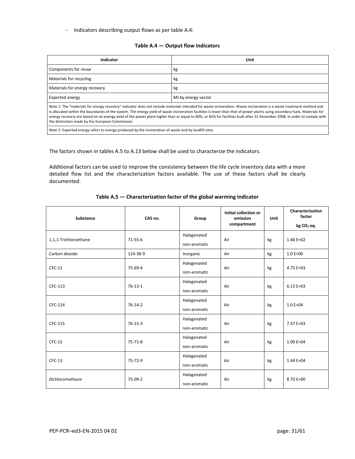- Indicators describing output flows as per table A.4:

#### **Table A.4 — Output flow indicators**

| Indicator                                                                                                                                                                                                                                                                                                                                                                                                                                                                                                                                                                           | Unit                |  |  |  |  |
|-------------------------------------------------------------------------------------------------------------------------------------------------------------------------------------------------------------------------------------------------------------------------------------------------------------------------------------------------------------------------------------------------------------------------------------------------------------------------------------------------------------------------------------------------------------------------------------|---------------------|--|--|--|--|
| Components for reuse                                                                                                                                                                                                                                                                                                                                                                                                                                                                                                                                                                | kg                  |  |  |  |  |
| Materials for recycling                                                                                                                                                                                                                                                                                                                                                                                                                                                                                                                                                             | kg                  |  |  |  |  |
| Materials for energy recovery                                                                                                                                                                                                                                                                                                                                                                                                                                                                                                                                                       | kg                  |  |  |  |  |
| Exported energy                                                                                                                                                                                                                                                                                                                                                                                                                                                                                                                                                                     | MJ by energy vector |  |  |  |  |
| Note 1: The "materials for energy recovery" indicator does not include materials intended for waste incineration. Waste incineration is a waste treatment method and<br>is allocated within the boundaries of the system. The energy yield of waste incineration facilities is lower than that of power plants using secondary fuels. Materials for<br>energy recovery are based on an energy yield of the power plant higher than or equal to 60%, or 65% for facilities built after 31 December 2008, in order to comply with<br>the distinction made by the European Commission. |                     |  |  |  |  |

Note 2: Exported energy refers to energy produced by the incineration of waste and by landfill sites.

The factors shown in tables A.5 to A.13 below shall be used to characterize the indicators.

Additional factors can be used to improve the consistency between the life cycle inventory data with a more detailed flow list and the characterization factors available. The use of these factors shall be clearly documented.

| Substance             | CAS no.       | Group                       | <b>Initial collection or</b><br>emission<br>compartment | Unit | Characterization<br>factor<br>kg CO <sub>2</sub> eq. |
|-----------------------|---------------|-----------------------------|---------------------------------------------------------|------|------------------------------------------------------|
| 1,1,1-Trichloroethane | $71 - 55 - 6$ | Halogenated<br>non-aromatic | Air                                                     | kg   | $1.46E+02$                                           |
| Carbon dioxide        | 124-38-9      | Inorganic                   | Air                                                     | kg   | $1.0 E + 00$                                         |
| $CFC-11$              | 75-69-4       | Halogenated<br>non-aromatic | Air                                                     | kg   | 4.75 E+03                                            |
| CFC-113               | $76-13-1$     | Halogenated<br>non-aromatic | Air                                                     | kg   | $6.13E+03$                                           |
| CFC-114               | $76-14-2$     | Halogenated<br>non-aromatic | Air                                                     | kg   | $1.0 E + 04$                                         |
| CFC-115               | $76 - 15 - 3$ | Halogenated<br>non-aromatic | Air                                                     | kg   | 7.37 E+03                                            |
| $CFC-12$              | $75 - 71 - 8$ | Halogenated<br>non-aromatic | Air                                                     | kg   | $1.09E + 04$                                         |
| $CFC-13$              | 75-72-9       | Halogenated<br>non-aromatic | Air                                                     | kg   | 1.44 E+04                                            |
| Dichloromethane       | 75-09-2       | Halogenated<br>non-aromatic | Air                                                     | kg   | 8.70 E+00                                            |

#### **Table A.5 — Characterization factor of the global warming indicator**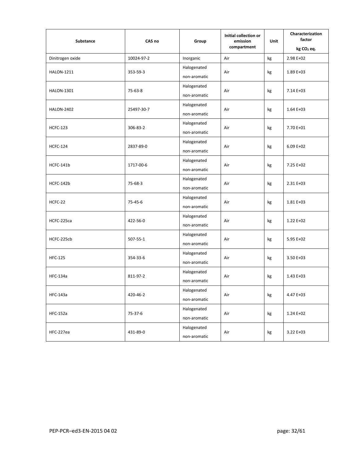| Substance         | CAS no<br>Group | <b>Initial collection or</b><br>emission | Unit        | Characterization<br>factor |                        |
|-------------------|-----------------|------------------------------------------|-------------|----------------------------|------------------------|
|                   |                 |                                          | compartment |                            | kg CO <sub>2</sub> eq. |
| Dinitrogen oxide  | 10024-97-2      | Inorganic                                | Air         | $\mathsf{kg}$              | 2.98 E+02              |
| <b>HALON-1211</b> | 353-59-3        | Halogenated                              | Air         | kg                         | 1.89 E+03              |
|                   |                 | non-aromatic                             |             |                            |                        |
| <b>HALON-1301</b> | 75-63-8         | Halogenated                              | Air         | kg                         | 7.14 E+03              |
|                   |                 | non-aromatic                             |             |                            |                        |
| <b>HALON-2402</b> | 25497-30-7      | Halogenated                              | Air         | kg                         | 1.64 E+03              |
|                   |                 | non-aromatic                             |             |                            |                        |
| <b>HCFC-123</b>   | 306-83-2        | Halogenated                              | Air         |                            | 7.70 E+01              |
|                   |                 | non-aromatic                             |             | kg                         |                        |
|                   |                 | Halogenated                              |             |                            |                        |
| <b>HCFC-124</b>   | 2837-89-0       | non-aromatic                             | Air         | kg                         | $6.09E+02$             |
|                   |                 | Halogenated                              |             | kg                         | 7.25 E+02              |
| HCFC-141b         | 1717-00-6       | non-aromatic                             | Air         |                            |                        |
|                   | 75-68-3         | Halogenated                              | Air         | kg                         |                        |
| HCFC-142b         |                 | non-aromatic                             |             |                            | 2.31 E+03              |
|                   | 75-45-6         | Halogenated                              | Air         |                            | $1.81E + 03$           |
| HCFC-22           |                 | non-aromatic                             |             | kg                         |                        |
| HCFC-225ca        | 422-56-0        | Halogenated                              | Air         |                            | 1.22 E+02              |
|                   |                 | non-aromatic                             |             | kg                         |                        |
|                   | 507-55-1        | Halogenated                              | Air         |                            | 5.95 E+02              |
| HCFC-225cb        |                 | non-aromatic                             |             | kg                         |                        |
| <b>HFC-125</b>    |                 | Halogenated                              | Air         | kg                         | 3.50 E+03              |
|                   | 354-33-6        | non-aromatic                             |             |                            |                        |
| <b>HFC-134a</b>   |                 | Halogenated                              |             | kg                         | 1.43 E+03              |
|                   | 811-97-2        | non-aromatic                             | Air         |                            |                        |
| HFC-143a          |                 | Halogenated                              | Air         | kg                         |                        |
|                   | 420-46-2        | non-aromatic                             |             |                            | 4.47 E+03              |
| <b>HFC-152a</b>   |                 | Halogenated                              | Air         | $\mathsf{kg}$              | 1.24 E+02              |
|                   | 75-37-6         | non-aromatic                             |             |                            |                        |
| HFC-227ea         | 431-89-0        | Halogenated                              | Air         | kg                         | 3.22 E+03              |
|                   |                 | non-aromatic                             |             |                            |                        |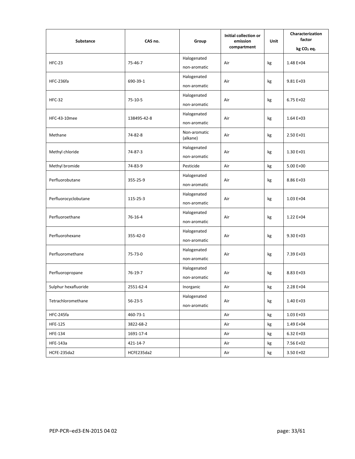| Substance            | CAS no.       | Group                    | Initial collection or<br>emission<br>compartment | Unit | Characterization<br>factor<br>kg CO <sub>2</sub> eq. |
|----------------------|---------------|--------------------------|--------------------------------------------------|------|------------------------------------------------------|
|                      |               | Halogenated              |                                                  |      |                                                      |
| $HFC-23$             | 75-46-7       | non-aromatic             | Air                                              | kg   | 1.48 E+04                                            |
| HFC-236fa            | 690-39-1      | Halogenated              | Air                                              | kg   | 9.81 E+03                                            |
|                      |               | non-aromatic             |                                                  |      |                                                      |
| <b>HFC-32</b>        | $75-10-5$     | Halogenated              | Air                                              | kg   | $6.75E+02$                                           |
|                      |               | non-aromatic             |                                                  |      |                                                      |
| HFC-43-10mee         | 138495-42-8   | Halogenated              | Air                                              | kg   | $1.64E+03$                                           |
|                      |               | non-aromatic             |                                                  |      |                                                      |
| Methane              | 74-82-8       | Non-aromatic<br>(alkane) | Air                                              | kg   | 2.50 E+01                                            |
| Methyl chloride      | 74-87-3       | Halogenated              | Air                                              | kg   | 1.30 E+01                                            |
|                      |               | non-aromatic             |                                                  |      |                                                      |
| Methyl bromide       | 74-83-9       | Pesticide                | Air                                              | kg   | 5.00 E+00                                            |
| Perfluorobutane      | 355-25-9      | Halogenated              | Air                                              | kg   | 8.86 E+03                                            |
|                      |               | non-aromatic             |                                                  |      |                                                      |
| Perfluorocyclobutane | 115-25-3      | Halogenated              | Air                                              | kg   | 1.03 E+04                                            |
|                      |               | non-aromatic             |                                                  |      |                                                      |
| Perfluoroethane      | 76-16-4       | Halogenated              | Air                                              | kg   | 1.22 E+04                                            |
|                      |               | non-aromatic             |                                                  |      |                                                      |
| Perfluorohexane      | 355-42-0      | Halogenated              | Air                                              | kg   | $9.30 E + 03$                                        |
|                      |               | non-aromatic             |                                                  |      |                                                      |
| Perfluoromethane     | 75-73-0       | Halogenated              | Air                                              | kg   | 7.39 E+03                                            |
|                      |               | non-aromatic             |                                                  |      |                                                      |
| Perfluoropropane     | $76-19-7$     | Halogenated              | Air                                              | kg   | 8.83 E+03                                            |
|                      |               | non-aromatic             |                                                  |      |                                                      |
| Sulphur hexafluoride | 2551-62-4     | Inorganic                | Air                                              | kg   | 2.28 E+04                                            |
| Tetrachloromethane   | $56 - 23 - 5$ | Halogenated              | Air                                              | kg   | 1.40 E+03                                            |
|                      |               | non-aromatic             |                                                  |      |                                                      |
| HFC-245fa            | 460-73-1      |                          | Air                                              | kg   | $1.03E+03$                                           |
| <b>HFE-125</b>       | 3822-68-2     |                          | Air                                              | kg   | 1.49 E+04                                            |
| <b>HFE-134</b>       | 1691-17-4     |                          | Air                                              | kg   | $6.32 E+03$                                          |
| <b>HFE-143a</b>      | 421-14-7      |                          | Air                                              | kg   | 7.56 E+02                                            |
| HCFE-235da2          | HCFE235da2    |                          | Air                                              | kg   | 3.50 E+02                                            |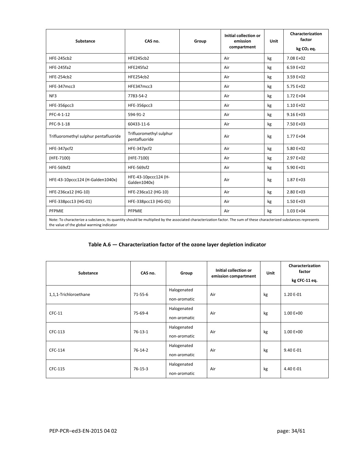| <b>Substance</b>                                                                                                                                                                                                  | CAS no.                                  | Group | Initial collection or<br>emission<br>compartment | Unit | Characterization<br>factor<br>kg CO <sub>2</sub> eq. |  |
|-------------------------------------------------------------------------------------------------------------------------------------------------------------------------------------------------------------------|------------------------------------------|-------|--------------------------------------------------|------|------------------------------------------------------|--|
| <b>HFE-245cb2</b>                                                                                                                                                                                                 | <b>HFE245cb2</b>                         |       | Air                                              | kg   | 7.08 E+02                                            |  |
| <b>HFE-245fa2</b>                                                                                                                                                                                                 | HFE245fa2                                |       | Air                                              | kg   | $6.59E+02$                                           |  |
| <b>HFE-254cb2</b>                                                                                                                                                                                                 | HFE254cb2                                |       | Air                                              | kg   | 3.59 E+02                                            |  |
| HFE-347mcc3                                                                                                                                                                                                       | HFE347mcc3                               |       | Air                                              | kg   | $5.75E+02$                                           |  |
| NF3                                                                                                                                                                                                               | 7783-54-2                                |       | Air                                              | kg   | 1.72 E+04                                            |  |
| <b>HFE-356pcc3</b>                                                                                                                                                                                                | HFE-356pcc3                              |       | Air                                              | kg   | $1.10E + 02$                                         |  |
| PFC-4-1-12                                                                                                                                                                                                        | 594-91-2                                 |       | Air                                              | kg   | $9.16E+03$                                           |  |
| PFC-9-1-18                                                                                                                                                                                                        | 60433-11-6                               |       | Air                                              | kg   | 7.50 E+03                                            |  |
| Trifluoromethyl sulphur pentafluoride                                                                                                                                                                             | Trifluoromethyl sulphur<br>pentafluoride |       | Air                                              | kg   | 1.77 E+04                                            |  |
| HFE-347pcf2                                                                                                                                                                                                       | HFE-347pcf2                              |       | Air                                              | kg   | 5.80 E+02                                            |  |
| (HFE-7100)                                                                                                                                                                                                        | (HFE-7100)                               |       | Air                                              | kg   | $2.97E+02$                                           |  |
| <b>HFE-569sf2</b>                                                                                                                                                                                                 | <b>HFE-569sf2</b>                        |       | Air                                              | kg   | 5.90 E+01                                            |  |
| HFE-43-10pccc124 (H-Galden1040x)                                                                                                                                                                                  | HFE-43-10pccc124 (H-<br>Galden1040x)     |       | Air                                              | kg   | 1.87 E+03                                            |  |
| HFE-236ca12 (HG-10)                                                                                                                                                                                               | HFE-236ca12 (HG-10)                      |       | Air                                              | kg   | $2.80E+03$                                           |  |
| HFE-338pcc13 (HG-01)                                                                                                                                                                                              | HFE-338pcc13 (HG-01)                     |       | Air                                              | kg   | $1.50E+03$                                           |  |
| PFPMIE                                                                                                                                                                                                            | PFPMIE                                   |       | Air                                              | kg   | $1.03E++04$                                          |  |
| Note: To characterize a substance, its quantity should be multiplied by the associated characterization factor. The sum of these characterized substances represents<br>the value of the global warming indicator |                                          |       |                                                  |      |                                                      |  |

#### **Table A.6 — Characterization factor of the ozone layer depletion indicator**

| Substance             | CAS no.       | Group        | Initial collection or<br>emission compartment | Unit | Characterization<br>factor<br>kg CFC-11 eq. |
|-----------------------|---------------|--------------|-----------------------------------------------|------|---------------------------------------------|
| 1,1,1-Trichloroethane | $71 - 55 - 6$ | Halogenated  | Air                                           | kg   | 1.20 E-01                                   |
|                       |               | non-aromatic |                                               |      |                                             |
| $CFC-11$              | 75-69-4       | Halogenated  | Air                                           | kg   | $1.00E + 00$                                |
|                       |               | non-aromatic |                                               |      |                                             |
| CFC-113               | $76-13-1$     | Halogenated  | Air                                           | kg   | $1.00E + 00$                                |
|                       |               | non-aromatic |                                               |      |                                             |
| CFC-114               | $76-14-2$     | Halogenated  | Air                                           | kg   | 9.40 E-01                                   |
|                       |               | non-aromatic |                                               |      |                                             |
|                       | $76 - 15 - 3$ | Halogenated  |                                               | kg   |                                             |
| CFC-115               |               | non-aromatic | Air                                           |      | 4.40 E-01                                   |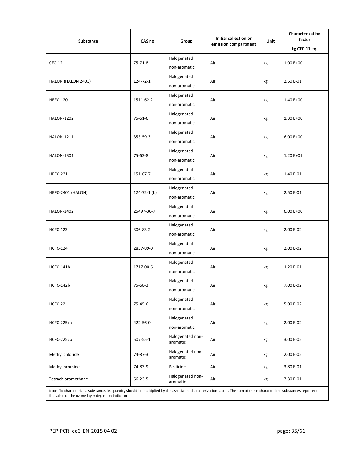| Substance                                                                                                                                                                                                                | CAS no.            | Group                        | <b>Initial collection or</b><br>emission compartment | Unit | Characterization<br>factor<br>kg CFC-11 eq. |  |  |
|--------------------------------------------------------------------------------------------------------------------------------------------------------------------------------------------------------------------------|--------------------|------------------------------|------------------------------------------------------|------|---------------------------------------------|--|--|
|                                                                                                                                                                                                                          |                    | Halogenated                  |                                                      |      |                                             |  |  |
| $CFC-12$                                                                                                                                                                                                                 | $75 - 71 - 8$      | non-aromatic                 | Air                                                  | kg   | $1.00E + 00$                                |  |  |
|                                                                                                                                                                                                                          |                    | Halogenated                  |                                                      |      |                                             |  |  |
| HALON (HALON 2401)                                                                                                                                                                                                       | 124-72-1           | non-aromatic                 | Air                                                  | kg   | 2.50 E-01                                   |  |  |
| HBFC-1201                                                                                                                                                                                                                | 1511-62-2          | Halogenated                  | Air                                                  | kg   | 1.40 E+00                                   |  |  |
|                                                                                                                                                                                                                          |                    | non-aromatic                 |                                                      |      |                                             |  |  |
| <b>HALON-1202</b>                                                                                                                                                                                                        | 75-61-6            | Halogenated                  | Air                                                  | kg   | 1.30 E+00                                   |  |  |
|                                                                                                                                                                                                                          |                    | non-aromatic                 |                                                      |      |                                             |  |  |
| <b>HALON-1211</b>                                                                                                                                                                                                        | 353-59-3           | Halogenated                  | Air                                                  | kg   | $6.00 E+00$                                 |  |  |
|                                                                                                                                                                                                                          |                    | non-aromatic                 |                                                      |      |                                             |  |  |
| <b>HALON-1301</b>                                                                                                                                                                                                        | 75-63-8            | Halogenated<br>non-aromatic  | Air                                                  | kg   | 1.20 E+01                                   |  |  |
|                                                                                                                                                                                                                          |                    | Halogenated                  |                                                      |      |                                             |  |  |
| HBFC-2311                                                                                                                                                                                                                | 151-67-7           | non-aromatic                 | Air                                                  | kg   | 1.40 E-01                                   |  |  |
|                                                                                                                                                                                                                          |                    | Halogenated                  | Air                                                  |      | 2.50 E-01                                   |  |  |
| HBFC-2401 (HALON)                                                                                                                                                                                                        | $124 - 72 - 1$ (b) | non-aromatic                 |                                                      | kg   |                                             |  |  |
| <b>HALON-2402</b>                                                                                                                                                                                                        | 25497-30-7         | Halogenated                  | Air                                                  |      |                                             |  |  |
|                                                                                                                                                                                                                          |                    | non-aromatic                 |                                                      | kg   | $6.00 E+00$                                 |  |  |
| <b>HCFC-123</b>                                                                                                                                                                                                          | 306-83-2           | Halogenated                  | Air                                                  |      |                                             |  |  |
|                                                                                                                                                                                                                          |                    | non-aromatic                 |                                                      | kg   | 2.00 E-02                                   |  |  |
| <b>HCFC-124</b>                                                                                                                                                                                                          | 2837-89-0          | Halogenated                  | Air                                                  | kg   | 2.00 E-02                                   |  |  |
|                                                                                                                                                                                                                          |                    | non-aromatic                 |                                                      |      |                                             |  |  |
| HCFC-141b                                                                                                                                                                                                                | 1717-00-6          | Halogenated                  | Air                                                  | kg   | 1.20 E-01                                   |  |  |
|                                                                                                                                                                                                                          |                    | non-aromatic                 |                                                      |      |                                             |  |  |
| HCFC-142b                                                                                                                                                                                                                | 75-68-3            | Halogenated                  | Air                                                  | kg   | 7.00 E-02                                   |  |  |
|                                                                                                                                                                                                                          |                    | non-aromatic                 |                                                      |      |                                             |  |  |
| HCFC-22                                                                                                                                                                                                                  | 75-45-6            | Halogenated                  | Air                                                  | kg   | 5.00 E-02                                   |  |  |
|                                                                                                                                                                                                                          |                    | non-aromatic                 |                                                      |      |                                             |  |  |
| HCFC-225ca                                                                                                                                                                                                               | 422-56-0           | Halogenated<br>non-aromatic  | Air                                                  | kg   | 2.00 E-02                                   |  |  |
|                                                                                                                                                                                                                          |                    | Halogenated non-             |                                                      |      |                                             |  |  |
| HCFC-225cb                                                                                                                                                                                                               | 507-55-1           | aromatic                     | Air                                                  | kg   | 3.00 E-02                                   |  |  |
| Methyl chloride                                                                                                                                                                                                          | 74-87-3            | Halogenated non-<br>aromatic | Air                                                  | kg   | 2.00 E-02                                   |  |  |
| Methyl bromide                                                                                                                                                                                                           | 74-83-9            | Pesticide                    | Air                                                  | kg   | 3.80 E-01                                   |  |  |
| Tetrachloromethane                                                                                                                                                                                                       | $56 - 23 - 5$      | Halogenated non-<br>aromatic | Air                                                  | kg   | 7.30 E-01                                   |  |  |
| Note: To characterize a substance, its quantity should be multiplied by the associated characterization factor. The sum of these characterized substances represents<br>the value of the ozone layer depletion indicator |                    |                              |                                                      |      |                                             |  |  |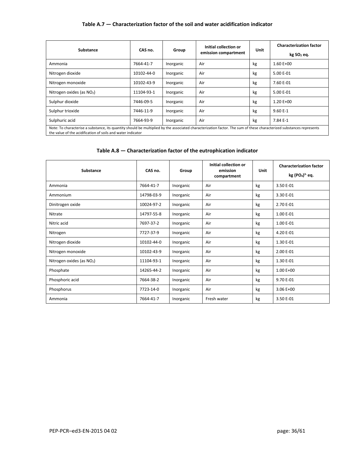#### **Table A.7 — Characterization factor of the soil and water acidification indicator**

| Substance                                                                                                                                                                                                                           | CAS no.    | Group     | Initial collection or | Unit | <b>Characterization factor</b> |  |  |
|-------------------------------------------------------------------------------------------------------------------------------------------------------------------------------------------------------------------------------------|------------|-----------|-----------------------|------|--------------------------------|--|--|
|                                                                                                                                                                                                                                     |            |           | emission compartment  |      | kg SO <sub>2</sub> eq.         |  |  |
| Ammonia                                                                                                                                                                                                                             | 7664-41-7  | Inorganic | Air                   | kg   | $1.60E + 00$                   |  |  |
| Nitrogen dioxide                                                                                                                                                                                                                    | 10102-44-0 | Inorganic | Air                   | kg   | 5.00 E-01                      |  |  |
| Nitrogen monoxide                                                                                                                                                                                                                   | 10102-43-9 | Inorganic | Air                   | kg   | 7.60 E-01                      |  |  |
| Nitrogen oxides (as $NO2$ )                                                                                                                                                                                                         | 11104-93-1 | Inorganic | Air                   | kg   | 5.00 E-01                      |  |  |
| Sulphur dioxide                                                                                                                                                                                                                     | 7446-09-5  | Inorganic | Air                   | kg   | $1.20E + 00$                   |  |  |
| Sulphur trioxide                                                                                                                                                                                                                    | 7446-11-9  | Inorganic | Air                   | kg   | $9.60E-1$                      |  |  |
| Sulphuric acid                                                                                                                                                                                                                      | 7664-93-9  | Inorganic | Air                   | kg   | 7.84 E-1                       |  |  |
| Note: To characterise a substance, its quantity should be multiplied by the associated characterization factor. The sum of these characterized substances represents<br>the value of the acidification of soils and water indicator |            |           |                       |      |                                |  |  |

| Substance                             | CAS no.    | Group     | Initial collection or<br>emission<br>compartment | Unit | <b>Characterization factor</b><br>$kg (PO4)3$ eq. |
|---------------------------------------|------------|-----------|--------------------------------------------------|------|---------------------------------------------------|
| Ammonia                               | 7664-41-7  | Inorganic | Air                                              | kg   | 3.50 E-01                                         |
| Ammonium                              | 14798-03-9 | Inorganic | Air                                              | kg   | 3.30 E-01                                         |
| Dinitrogen oxide                      | 10024-97-2 | Inorganic | Air                                              | kg   | 2.70 E-01                                         |
| Nitrate                               | 14797-55-8 | Inorganic | Air                                              | kg   | 1.00 E-01                                         |
| Nitric acid                           | 7697-37-2  | Inorganic | Air                                              | kg   | 1.00 E-01                                         |
| Nitrogen                              | 7727-37-9  | Inorganic | Air                                              | kg   | 4.20 E-01                                         |
| Nitrogen dioxide                      | 10102-44-0 | Inorganic | Air                                              | kg   | 1.30 E-01                                         |
| Nitrogen monoxide                     | 10102-43-9 | Inorganic | Air                                              | kg   | 2.00 E-01                                         |
| Nitrogen oxides (as NO <sub>2</sub> ) | 11104-93-1 | Inorganic | Air                                              | kg   | 1.30 E-01                                         |
| Phosphate                             | 14265-44-2 | Inorganic | Air                                              | kg   | $1.00 E+00$                                       |
| Phosphoric acid                       | 7664-38-2  | Inorganic | Air                                              | kg   | 9.70 E-01                                         |
| Phosphorus                            | 7723-14-0  | Inorganic | Air                                              | kg   | $3.06E+00$                                        |
| Ammonia                               | 7664-41-7  | Inorganic | Fresh water                                      | kg   | 3.50 E-01                                         |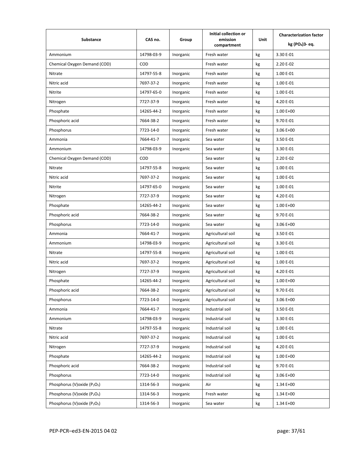| <b>Substance</b>                                      | CAS no.    | Group     | Initial collection or<br>emission<br>compartment | Unit | <b>Characterization factor</b><br>kg (PO <sub>4</sub> )3- eq. |
|-------------------------------------------------------|------------|-----------|--------------------------------------------------|------|---------------------------------------------------------------|
| Ammonium                                              | 14798-03-9 | Inorganic | Fresh water                                      | kg   | 3.30 E-01                                                     |
| Chemical Oxygen Demand (COD)                          | COD        |           | Fresh water                                      | kg   | 2.20 E-02                                                     |
| Nitrate                                               | 14797-55-8 | Inorganic | Fresh water                                      | kg   | 1.00 E-01                                                     |
| Nitric acid                                           | 7697-37-2  | Inorganic | Fresh water                                      | kg   | 1.00 E-01                                                     |
| Nitrite                                               | 14797-65-0 | Inorganic | Fresh water                                      | kg   | 1.00 E-01                                                     |
| Nitrogen                                              | 7727-37-9  | Inorganic | Fresh water                                      | kg   | 4.20 E-01                                                     |
| Phosphate                                             | 14265-44-2 | Inorganic | Fresh water                                      | kg   | $1.00E + 00$                                                  |
| Phosphoric acid                                       | 7664-38-2  | Inorganic | Fresh water                                      | kg   | 9.70 E-01                                                     |
| Phosphorus                                            | 7723-14-0  | Inorganic | Fresh water                                      | kg   | $3.06E+00$                                                    |
| Ammonia                                               | 7664-41-7  | Inorganic | Sea water                                        | kg   | 3.50 E-01                                                     |
| Ammonium                                              | 14798-03-9 | Inorganic | Sea water                                        | kg   | 3.30 E-01                                                     |
| Chemical Oxygen Demand (COD)                          | COD        |           | Sea water                                        | kg   | 2.20 E-02                                                     |
| Nitrate                                               | 14797-55-8 | Inorganic | Sea water                                        | kg   | 1.00 E-01                                                     |
| Nitric acid                                           | 7697-37-2  | Inorganic | Sea water                                        | kg   | 1.00 E-01                                                     |
| Nitrite                                               | 14797-65-0 | Inorganic | Sea water                                        | kg   | 1.00 E-01                                                     |
| Nitrogen                                              | 7727-37-9  | Inorganic | Sea water                                        | kg   | 4.20 E-01                                                     |
| Phosphate                                             | 14265-44-2 | Inorganic | Sea water                                        | kg   | $1.00E + 00$                                                  |
| Phosphoric acid                                       | 7664-38-2  | Inorganic | Sea water                                        | kg   | 9.70 E-01                                                     |
| Phosphorus                                            | 7723-14-0  | Inorganic | Sea water                                        | kg   | $3.06E+00$                                                    |
| Ammonia                                               | 7664-41-7  | Inorganic | Agricultural soil                                | kg   | 3.50 E-01                                                     |
| Ammonium                                              | 14798-03-9 | Inorganic | Agricultural soil                                | kg   | 3.30 E-01                                                     |
| Nitrate                                               | 14797-55-8 | Inorganic | Agricultural soil                                | kg   | 1.00 E-01                                                     |
| Nitric acid                                           | 7697-37-2  | Inorganic | Agricultural soil                                | kg   | 1.00 E-01                                                     |
| Nitrogen                                              | 7727-37-9  | Inorganic | Agricultural soil                                | kg   | 4.20 E-01                                                     |
| Phosphate                                             | 14265-44-2 | Inorganic | Agricultural soil                                | kg   | $1.00 E+00$                                                   |
| Phosphoric acid                                       | 7664-38-2  | Inorganic | Agricultural soil                                | kg   | 9.70 E-01                                                     |
| Phosphorus                                            | 7723-14-0  | Inorganic | Agricultural soil                                | kg   | 3.06 E+00                                                     |
| Ammonia                                               | 7664-41-7  | Inorganic | Industrial soil                                  | kg   | 3.50 E-01                                                     |
| Ammonium                                              | 14798-03-9 | Inorganic | Industrial soil                                  | kg   | 3.30 E-01                                                     |
| Nitrate                                               | 14797-55-8 | Inorganic | Industrial soil                                  | kg   | 1.00 E-01                                                     |
| Nitric acid                                           | 7697-37-2  | Inorganic | Industrial soil                                  | kg   | 1.00 E-01                                                     |
| Nitrogen                                              | 7727-37-9  | Inorganic | Industrial soil                                  | kg   | 4.20 E-01                                                     |
| Phosphate                                             | 14265-44-2 | Inorganic | Industrial soil                                  | kg   | $1.00E + 00$                                                  |
| Phosphoric acid                                       | 7664-38-2  | Inorganic | Industrial soil                                  | kg   | 9.70 E-01                                                     |
| Phosphorus                                            | 7723-14-0  | Inorganic | Industrial soil                                  | kg   | 3.06 E+00                                                     |
| Phosphorus (V) oxide (P2O <sub>5</sub> )              | 1314-56-3  | Inorganic | Air                                              | kg   | 1.34 E+00                                                     |
| Phosphorus (V) oxide (P <sub>2</sub> O <sub>5</sub> ) | 1314-56-3  | Inorganic | Fresh water                                      | kg   | 1.34 E+00                                                     |
| Phosphorus (V) oxide (P <sub>2</sub> O <sub>5</sub> ) | 1314-56-3  | Inorganic | Sea water                                        | kg   | 1.34 E+00                                                     |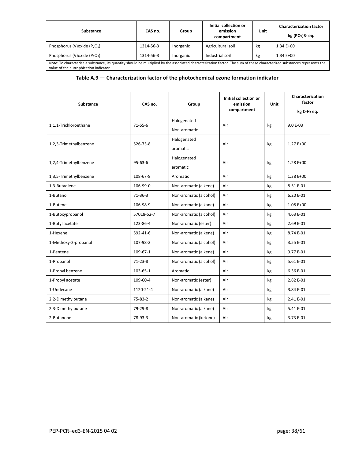| Substance                                                                                                                                                                                                         | CAS no.   | Group     | Initial collection or<br>emission<br>compartment | Unit | <b>Characterization factor</b><br>kg (PO <sub>4</sub> )3- eq. |  |
|-------------------------------------------------------------------------------------------------------------------------------------------------------------------------------------------------------------------|-----------|-----------|--------------------------------------------------|------|---------------------------------------------------------------|--|
| Phosphorus (V) oxide $(P_2O_5)$                                                                                                                                                                                   | 1314-56-3 | Inorganic | Agricultural soil                                | kg   | $1.34E+00$                                                    |  |
| Phosphorus (V) oxide $(P_2O_5)$                                                                                                                                                                                   | 1314-56-3 | Inorganic | Industrial soil                                  | kg   | $1.34E+00$                                                    |  |
| Note: To characterise a substance, its quantity should be multiplied by the associated characterization factor. The sum of these characterized substances represents the<br>value of the eutrophication indicator |           |           |                                                  |      |                                                               |  |

#### **Table A.9 — Characterization factor of the photochemical ozone formation indicator**

| Substance              | CAS no.        | Group                       | Initial collection or<br>emission<br>compartment | <b>Unit</b> | Characterization<br>factor<br>kg C <sub>2</sub> H <sub>4</sub> eq. |
|------------------------|----------------|-----------------------------|--------------------------------------------------|-------------|--------------------------------------------------------------------|
| 1,1,1-Trichloroethane  | $71 - 55 - 6$  | Halogenated<br>Non-aromatic | Air                                              | kg          | $9.0 E - 03$                                                       |
| 1,2,3-Trimethylbenzene | 526-73-8       | Halogenated<br>aromatic     | Air                                              | kg          | 1.27 E+00                                                          |
| 1,2,4-Trimethylbenzene | $95 - 63 - 6$  | Halogenated<br>aromatic     | Air                                              | kg          | 1.28 E+00                                                          |
| 1,3,5-Trimethylbenzene | 108-67-8       | Aromatic                    | Air                                              | kg          | 1.38 E+00                                                          |
| 1,3-Butadiene          | 106-99-0       | Non-aromatic (alkene)       | Air                                              | kg          | 8.51 E-01                                                          |
| 1-Butanol              | $71 - 36 - 3$  | Non-aromatic (alcohol)      | Air                                              | kg          | 6.20 E-01                                                          |
| 1-Butene               | 106-98-9       | Non-aromatic (alkane)       | Air                                              | kg          | $1.08E + 00$                                                       |
| 1-Butoxypropanol       | 57018-52-7     | Non-aromatic (alcohol)      | Air                                              | kg          | 4.63 E-01                                                          |
| 1-Butyl acetate        | 123-86-4       | Non-aromatic (ester)        | Air                                              | kg          | 2.69 E-01                                                          |
| 1-Hexene               | 592-41-6       | Non-aromatic (alkene)       | Air                                              | kg          | 8.74 E-01                                                          |
| 1-Methoxy-2-propanol   | 107-98-2       | Non-aromatic (alcohol)      | Air                                              | kg          | 3.55 E-01                                                          |
| 1-Pentene              | 109-67-1       | Non-aromatic (alkene)       | Air                                              | kg          | 9.77 E-01                                                          |
| 1-Propanol             | $71 - 23 - 8$  | Non-aromatic (alcohol)      | Air                                              | kg          | 5.61 E-01                                                          |
| 1-Propyl benzene       | $103 - 65 - 1$ | <b>Aromatic</b>             | Air                                              | kg          | 6.36 E-01                                                          |
| 1-Propyl acetate       | 109-60-4       | Non-aromatic (ester)        | Air                                              | kg          | 2.82 E-01                                                          |
| 1-Undecane             | 1120-21-4      | Non-aromatic (alkane)       | Air                                              | kg          | 3.84 E-01                                                          |
| 2,2-Dimethylbutane     | $75 - 83 - 2$  | Non-aromatic (alkane)       | Air                                              | kg          | 2.41 E-01                                                          |
| 2.3-Dimethylbutane     | 79-29-8        | Non-aromatic (alkane)       | Air                                              | kg          | 5.41 E-01                                                          |
| 2-Butanone             | 78-93-3        | Non-aromatic (ketone)       | Air                                              | kg          | 3.73 E-01                                                          |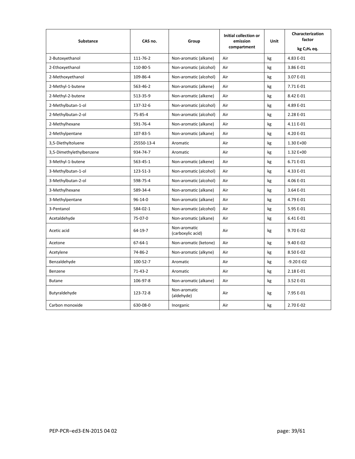| <b>Substance</b>         | CAS no.<br>Group | Initial collection or<br>emission | Unit        | Characterization<br>factor |                                      |
|--------------------------|------------------|-----------------------------------|-------------|----------------------------|--------------------------------------|
|                          |                  |                                   | compartment |                            | kg C <sub>2</sub> H <sub>4</sub> eq. |
| 2-Butoxyethanol          | 111-76-2         | Non-aromatic (alkane)             | Air         | kg                         | 4.83 E-01                            |
| 2-Ethoxyethanol          | 110-80-5         | Non-aromatic (alcohol)            | Air         | kg                         | 3.86 E-01                            |
| 2-Methoxyethanol         | 109-86-4         | Non-aromatic (alcohol)            | Air         | kg                         | 3.07 E-01                            |
| 2-Methyl-1-butene        | 563-46-2         | Non-aromatic (alkene)             | Air         | kg                         | 7.71 E-01                            |
| 2-Methyl-2-butene        | 513-35-9         | Non-aromatic (alkene)             | Air         | kg                         | 8.42 E-01                            |
| 2-Methylbutan-1-ol       | 137-32-6         | Non-aromatic (alcohol)            | Air         | kg                         | 4.89 E-01                            |
| 2-Methylbutan-2-ol       | 75-85-4          | Non-aromatic (alcohol)            | Air         | kg                         | 2.28 E-01                            |
| 2-Methylhexane           | 591-76-4         | Non-aromatic (alkane)             | Air         | kg                         | 4.11 E-01                            |
| 2-Methylpentane          | 107-83-5         | Non-aromatic (alkane)             | Air         | kg                         | 4.20 E-01                            |
| 3,5-Diethyltoluene       | 25550-13-4       | Aromatic                          | Air         | kg                         | 1.30 E+00                            |
| 3,5-Dimethylethylbenzene | 934-74-7         | Aromatic                          | Air         | kg                         | 1.32 E+00                            |
| 3-Methyl-1-butene        | 563-45-1         | Non-aromatic (alkene)             | Air         | kg                         | 6.71 E-01                            |
| 3-Methylbutan-1-ol       | 123-51-3         | Non-aromatic (alcohol)            | Air         | kg                         | 4.33 E-01                            |
| 3-Methylbutan-2-ol       | 598-75-4         | Non-aromatic (alcohol)            | Air         | kg                         | 4.06 E-01                            |
| 3-Methylhexane           | 589-34-4         | Non-aromatic (alkane)             | Air         | kg                         | 3.64 E-01                            |
| 3-Methylpentane          | $96 - 14 - 0$    | Non-aromatic (alkane)             | Air         | kg                         | 4.79 E-01                            |
| 3-Pentanol               | 584-02-1         | Non-aromatic (alcohol)            | Air         | kg                         | 5.95 E-01                            |
| Acetaldehyde             | 75-07-0          | Non-aromatic (alkane)             | Air         | kg                         | 6.41 E-01                            |
| Acetic acid              | $64 - 19 - 7$    | Non-aromatic<br>(carboxylic acid) | Air         | kg                         | 9.70 E-02                            |
| Acetone                  | $67 - 64 - 1$    | Non-aromatic (ketone)             | Air         | kg                         | 9.40 E-02                            |
| Acetylene                | 74-86-2          | Non-aromatic (alkyne)             | Air         | kg                         | 8.50 E-02                            |
| Benzaldehyde             | 100-52-7         | Aromatic                          | Air         | kg                         | $-9.20E-02$                          |
| Benzene                  | $71-43-2$        | Aromatic                          | Air         | kg                         | 2.18 E-01                            |
| <b>Butane</b>            | 106-97-8         | Non-aromatic (alkane)             | Air         | kg                         | 3.52 E-01                            |
| Butyraldehyde            | 123-72-8         | Non-aromatic<br>(aldehyde)        | Air         | kg                         | 7.95 E-01                            |
| Carbon monoxide          | 630-08-0         | Inorganic                         | Air         | kg                         | 2.70 E-02                            |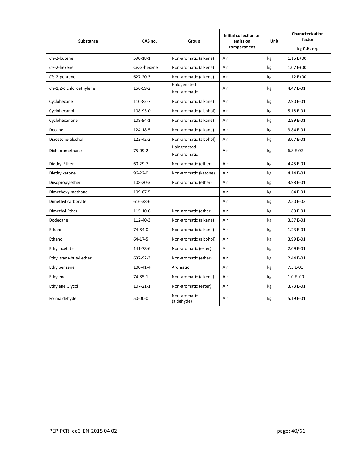| <b>Substance</b>         | CAS no.        | Group                       | Initial collection or<br>emission<br>compartment | <b>Unit</b> | Characterization<br>factor<br>kg C <sub>2</sub> H <sub>4</sub> eq. |
|--------------------------|----------------|-----------------------------|--------------------------------------------------|-------------|--------------------------------------------------------------------|
| Cis-2-butene             | 590-18-1       | Non-aromatic (alkene)       | Air                                              | kg          | 1.15 E+00                                                          |
| Cis-2-hexene             | Cis-2-hexene   | Non-aromatic (alkene)       | Air                                              | kg          | 1.07 E+00                                                          |
| Cis-2-pentene            | 627-20-3       | Non-aromatic (alkene)       | Air                                              | kg          | $1.12 E+00$                                                        |
| Cis-1,2-dichloroethylene | 156-59-2       | Halogenated<br>Non-aromatic | Air                                              | kg          | 4.47 E-01                                                          |
| Cyclohexane              | 110-82-7       | Non-aromatic (alkane)       | Air                                              | kg          | 2.90 E-01                                                          |
| Cyclohexanol             | 108-93-0       | Non-aromatic (alcohol)      | Air                                              | kg          | 5.18 E-01                                                          |
| Cyclohexanone            | 108-94-1       | Non-aromatic (alkane)       | Air                                              | kg          | 2.99 E-01                                                          |
| Decane                   | 124-18-5       | Non-aromatic (alkane)       | Air                                              | kg          | 3.84 E-01                                                          |
| Diacetone-alcohol        | 123-42-2       | Non-aromatic (alcohol)      | Air                                              | kg          | 3.07 E-01                                                          |
| Dichloromethane          | 75-09-2        | Halogenated<br>Non-aromatic | Air                                              | kg          | 6.8 E-02                                                           |
| Diethyl Ether            | $60 - 29 - 7$  | Non-aromatic (ether)        | Air                                              | kg          | 4.45 E-01                                                          |
| Diethylketone            | $96 - 22 - 0$  | Non-aromatic (ketone)       | Air                                              | kg          | 4.14 E-01                                                          |
| Diisopropylether         | $108 - 20 - 3$ | Non-aromatic (ether)        | Air                                              | kg          | 3.98 E-01                                                          |
| Dimethoxy methane        | 109-87-5       |                             | Air                                              | kg          | 1.64 E-01                                                          |
| Dimethyl carbonate       | 616-38-6       |                             | Air                                              | kg          | 2.50 E-02                                                          |
| Dimethyl Ether           | 115-10-6       | Non-aromatic (ether)        | Air                                              | kg          | 1.89 E-01                                                          |
| Dodecane                 | 112-40-3       | Non-aromatic (alkane)       | Air                                              | kg          | 3.57 E-01                                                          |
| Ethane                   | 74-84-0        | Non-aromatic (alkane)       | Air                                              | kg          | 1.23 E-01                                                          |
| Ethanol                  | $64 - 17 - 5$  | Non-aromatic (alcohol)      | Air                                              | kg          | 3.99 E-01                                                          |
| Ethyl acetate            | 141-78-6       | Non-aromatic (ester)        | Air                                              | kg          | 2.09 E-01                                                          |
| Ethyl trans-butyl ether  | 637-92-3       | Non-aromatic (ether)        | Air                                              | kg          | 2.44 E-01                                                          |
| Ethylbenzene             | 100-41-4       | Aromatic                    | Air                                              | kg          | 7.3 E-01                                                           |
| Ethylene                 | 74-85-1        | Non-aromatic (alkene)       | Air                                              | kg          | $1.0 E + 00$                                                       |
| Ethylene Glycol          | $107 - 21 - 1$ | Non-aromatic (ester)        | Air                                              | kg          | 3.73 E-01                                                          |
| Formaldehyde             | $50 - 00 - 0$  | Non-aromatic<br>(aldehyde)  | Air                                              | kg          | 5.19 E-01                                                          |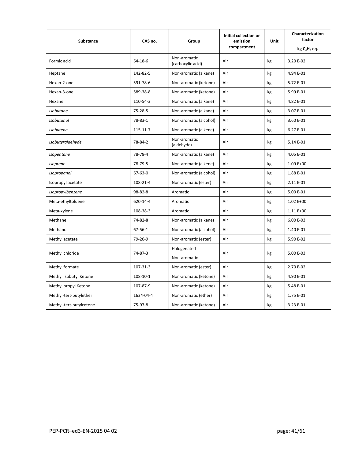| <b>Substance</b>        | CAS no.        | Group                             | Initial collection or<br>emission |    | Characterization<br>factor           |
|-------------------------|----------------|-----------------------------------|-----------------------------------|----|--------------------------------------|
|                         |                |                                   | compartment                       |    | kg C <sub>2</sub> H <sub>4</sub> eq. |
| Formic acid             | $64 - 18 - 6$  | Non-aromatic<br>(carboxylic acid) | Air                               | kg | 3.20 E-02                            |
| Heptane                 | 142-82-5       | Non-aromatic (alkane)             | Air                               | kg | 4.94 E-01                            |
| Hexan-2-one             | 591-78-6       | Non-aromatic (ketone)             | Air                               | kg | 5.72 E-01                            |
| Hexan-3-one             | 589-38-8       | Non-aromatic (ketone)             | Air                               | kg | 5.99 E-01                            |
| Hexane                  | 110-54-3       | Non-aromatic (alkane)             | Air                               | kg | 4.82 E-01                            |
| <i>Isobutane</i>        | 75-28-5        | Non-aromatic (alkane)             | Air                               | kg | 3.07 E-01                            |
| Isobutanol              | 78-83-1        | Non-aromatic (alcohol)            | Air                               | kg | 3.60 E-01                            |
| <b>Isobutene</b>        | $115 - 11 - 7$ | Non-aromatic (alkene)             | Air                               | kg | 6.27 E-01                            |
| Isobutyraldehyde        | 78-84-2        | Non-aromatic<br>(aldehyde)        | Air                               | kg | 5.14 E-01                            |
| Isopentane              | 78-78-4        | Non-aromatic (alkane)             | Air                               | kg | 4.05 E-01                            |
| Isoprene                | 78-79-5        | Non-aromatic (alkene)             | Air                               | kg | 1.09 E+00                            |
| Isopropanol             | $67 - 63 - 0$  | Non-aromatic (alcohol)            | Air                               | kg | 1.88 E-01                            |
| Isopropyl acetate       | 108-21-4       | Non-aromatic (ester)              | Air                               | kg | 2.11 E-01                            |
| Isopropylbenzene        | $98 - 82 - 8$  | Aromatic                          | Air                               | kg | 5.00 E-01                            |
| Meta-ethyltoluene       | 620-14-4       | Aromatic                          | Air                               | kg | $1.02 E+00$                          |
| Meta-xylene             | 108-38-3       | Aromatic                          | Air                               | kg | 1.11 E+00                            |
| Methane                 | 74-82-8        | Non-aromatic (alkane)             | Air                               | kg | 6.00 E-03                            |
| Methanol                | $67 - 56 - 1$  | Non-aromatic (alcohol)            | Air                               | kg | 1.40 E-01                            |
| Methyl acetate          | 79-20-9        | Non-aromatic (ester)              | Air                               | kg | 5.90 E-02                            |
| Methyl chloride         | 74-87-3        | Halogenated<br>Non-aromatic       | Air                               | kg | 5.00 E-03                            |
| Methyl formate          | 107-31-3       | Non-aromatic (ester)              | Air                               | kg | 2.70 E-02                            |
| Methyl Isobutyl Ketone  | $108 - 10 - 1$ | Non-aromatic (ketone)             | Air                               | kg | 4.90 E-01                            |
| Methyl oropyl Ketone    | 107-87-9       | Non-aromatic (ketone)             | Air                               | kg | 5.48 E-01                            |
| Methyl-tert-butylether  | 1634-04-4      | Non-aromatic (ether)              | Air                               | kg | 1.75 E-01                            |
| Methyl-tert-butylcetone | 75-97-8        | Non-aromatic (ketone)             | Air                               | kg | 3.23 E-01                            |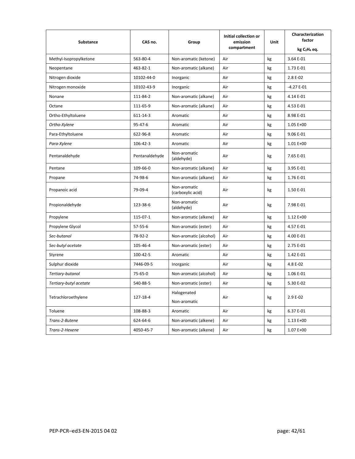| <b>Substance</b>       | CAS no.<br>Group | Initial collection or<br>emission | <b>Unit</b> | Characterization<br>factor |                                      |
|------------------------|------------------|-----------------------------------|-------------|----------------------------|--------------------------------------|
|                        |                  |                                   | compartment |                            | kg C <sub>2</sub> H <sub>4</sub> eq. |
| Methyl-Isopropylketone | 563-80-4         | Non-aromatic (ketone)             | Air         | kg                         | 3.64 E-01                            |
| Neopentane             | 463-82-1         | Non-aromatic (alkane)             | Air         | kg                         | 1.73 E-01                            |
| Nitrogen dioxide       | 10102-44-0       | Inorganic                         | Air         | kg                         | 2.8 E-02                             |
| Nitrogen monoxide      | 10102-43-9       | Inorganic                         | Air         | kg                         | $-4.27E-01$                          |
| Nonane                 | 111-84-2         | Non-aromatic (alkane)             | Air         | kg                         | 4.14 E-01                            |
| Octane                 | 111-65-9         | Non-aromatic (alkane)             | Air         | kg                         | 4.53 E-01                            |
| Ortho-Ethyltoluene     | 611-14-3         | Aromatic                          | Air         | kg                         | 8.98 E-01                            |
| Ortho-Xylene           | $95 - 47 - 6$    | Aromatic                          | Air         | kg                         | 1.05 E+00                            |
| Para-Ethyltoluene      | 622-96-8         | Aromatic                          | Air         | kg                         | 9.06 E-01                            |
| Para-Xylene            | $106 - 42 - 3$   | Aromatic                          | Air         | kg                         | $1.01E + 00$                         |
| Pentanaldehyde         | Pentanaldehyde   | Non-aromatic<br>(aldehyde)        | Air         | kg                         | 7.65 E-01                            |
| Pentane                | 109-66-0         | Non-aromatic (alkane)             | Air         | kg                         | 3.95 E-01                            |
| Propane                | 74-98-6          | Non-aromatic (alkane)             | Air         | kg                         | 1.76 E-01                            |
| Propanoic acid         | 79-09-4          | Non-aromatic<br>(carboxylic acid) | Air         | kg                         | 1.50 E-01                            |
| Propionaldehyde        | 123-38-6         | Non-aromatic<br>(aldehyde)        | Air         | kg                         | 7.98 E-01                            |
| Propylene              | 115-07-1         | Non-aromatic (alkene)             | Air         | kg                         | 1.12 E+00                            |
| Propylene Glycol       | $57 - 55 - 6$    | Non-aromatic (ester)              | Air         | kg                         | 4.57 E-01                            |
| Sec-butanol            | 78-92-2          | Non-aromatic (alcohol)            | Air         | kg                         | 4.00 E-01                            |
| Sec-butyl acetate      | 105-46-4         | Non-aromatic (ester)              | Air         | kg                         | 2.75 E-01                            |
| Styrene                | 100-42-5         | Aromatic                          | Air         | kg                         | 1.42 E-01                            |
| Sulphur dioxide        | 7446-09-5        | Inorganic                         | Air         | kg                         | 4.8 E-02                             |
| Tertiary-butanol       | 75-65-0          | Non-aromatic (alcohol)            | Air         | kg                         | 1.06 E-01                            |
| Tertiary-butyl acetate | 540-88-5         | Non-aromatic (ester)              | Air         | kg                         | 5.30 E-02                            |
| Tetrachloroethylene    | 127-18-4         | Halogenated<br>Non-aromatic       | Air         | kg                         | 2.9 E-02                             |
| Toluene                | 108-88-3         | Aromatic                          | Air         | kg                         | 6.37 E-01                            |
| Trans-2-Butene         | 624-64-6         | Non-aromatic (alkene)             | Air         | kg                         | $1.13E+00$                           |
| Trans-2-Hexene         | 4050-45-7        | Non-aromatic (alkene)             | Air         | kg                         | 1.07 E+00                            |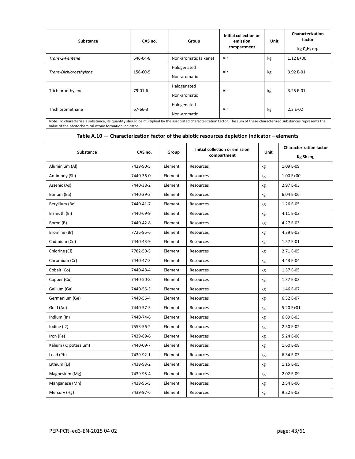| Substance                                                                                                                                                                                                                        | CAS no.   | Group                       | Initial collection or<br>emission<br>compartment | Unit | Characterization<br>factor<br>kg C <sub>2</sub> H <sub>4</sub> eq. |  |
|----------------------------------------------------------------------------------------------------------------------------------------------------------------------------------------------------------------------------------|-----------|-----------------------------|--------------------------------------------------|------|--------------------------------------------------------------------|--|
| Trans-2-Pentene                                                                                                                                                                                                                  | 646-04-8  | Non-aromatic (alkene)       | Air                                              | kg   | $1.12 E+00$                                                        |  |
| Trans-Dichloroethylene                                                                                                                                                                                                           | 156-60-5  | Halogenated<br>Non-aromatic | Air                                              | kg   | 3.92 E-01                                                          |  |
| Trichloroethylene                                                                                                                                                                                                                | $79-01-6$ | Halogenated<br>Non-aromatic | Air                                              | kg   | 3.25 E-01                                                          |  |
| Trichloromethane                                                                                                                                                                                                                 | 67-66-3   | Halogenated<br>Non-aromatic | Air                                              | kg   | $2.3E-02$                                                          |  |
| Note: To characterise a substance, its quantity should be multiplied by the associated characterization factor. The sum of these characterized substances represents the<br>value of the photochemical ozone formation indicator |           |                             |                                                  |      |                                                                    |  |

#### **Table A.10 — Characterization factor of the abiotic resources depletion indicator – elements**

| <b>Substance</b>      | CAS no.   | Group   | Initial collection or emission<br>compartment | Unit | <b>Characterization factor</b><br>Kg Sb eq, |
|-----------------------|-----------|---------|-----------------------------------------------|------|---------------------------------------------|
| Aluminium (Al)        | 7429-90-5 | Element | Resources                                     | kg   | 1.09 E-09                                   |
| Antimony (Sb)         | 7440-36-0 | Element | Resources                                     | kg   | 1.00 E+00                                   |
| Arsenic (As)          | 7440-38-2 | Element | Resources                                     | kg   | 2.97 E-03                                   |
| Barium (Ba)           | 7440-39-3 | Element | Resources                                     | kg   | 6.04 E-06                                   |
| Beryllium (Be)        | 7440-41-7 | Element | Resources                                     | kg   | 1.26 E-05                                   |
| Bismuth (Bi)          | 7440-69-9 | Element | Resources                                     | kg   | 4.11 E-02                                   |
| Boron (B)             | 7440-42-8 | Element | Resources                                     | kg   | 4.27 E-03                                   |
| Bromine (Br)          | 7726-95-6 | Element | Resources                                     | kg   | 4.39 E-03                                   |
| Cadmium (Cd)          | 7440-43-9 | Element | Resources                                     | kg   | 1.57 E-01                                   |
| Chlorine (Cl)         | 7782-50-5 | Element | Resources                                     | kg   | 2.71 E-05                                   |
| Chromium (Cr)         | 7440-47-3 | Element | Resources                                     | kg   | 4.43 E-04                                   |
| Cobalt (Co)           | 7440-48-4 | Element | Resources                                     | kg   | 1.57 E-05                                   |
| Copper (Cu)           | 7440-50-8 | Element | Resources                                     | kg   | 1.37 E-03                                   |
| Gallium (Ga)          | 7440-55-3 | Element | Resources                                     | kg   | 1.46 E-07                                   |
| Germanium (Ge)        | 7440-56-4 | Element | Resources                                     | kg   | 6.52 E-07                                   |
| Gold (Au)             | 7440-57-5 | Element | Resources                                     | kg   | 5.20 E+01                                   |
| Indium (In)           | 7440-74-6 | Element | Resources                                     | kg   | 6.89 E-03                                   |
| Iodine (I2)           | 7553-56-2 | Element | Resources                                     | kg   | 2.50 E-02                                   |
| Iron (Fe)             | 7439-89-6 | Element | Resources                                     | kg   | 5.24 E-08                                   |
| Kalium (K; potassium) | 7440-09-7 | Element | Resources                                     | kg   | 1.60 E-08                                   |
| Lead (Pb)             | 7439-92-1 | Element | Resources                                     | kg   | 6.34 E-03                                   |
| Lithium (Li)          | 7439-93-2 | Element | Resources                                     | kg   | 1.15 E-05                                   |
| Magnesium (Mg)        | 7439-95-4 | Element | Resources                                     | kg   | 2.02 E-09                                   |
| Manganese (Mn)        | 7439-96-5 | Element | Resources                                     | kg   | 2.54 E-06                                   |
| Mercury (Hg)          | 7439-97-6 | Element | Resources                                     | kg   | 9.22 E-02                                   |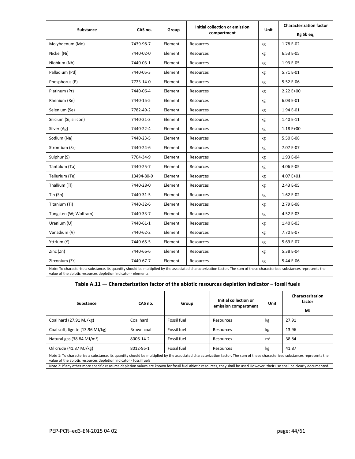| <b>Substance</b>                                                                                                                                                                                                                          | CAS no.    | Group   | Initial collection or emission<br>compartment | Unit | <b>Characterization factor</b> |
|-------------------------------------------------------------------------------------------------------------------------------------------------------------------------------------------------------------------------------------------|------------|---------|-----------------------------------------------|------|--------------------------------|
|                                                                                                                                                                                                                                           |            |         |                                               |      | Kg Sb eq,                      |
| Molybdenum (Mo)                                                                                                                                                                                                                           | 7439-98-7  | Element | Resources                                     | kg   | 1.78 E-02                      |
| Nickel (Ni)                                                                                                                                                                                                                               | 7440-02-0  | Element | Resources                                     | kg   | 6.53 E-05                      |
| Niobium (Nb)                                                                                                                                                                                                                              | 7440-03-1  | Element | Resources                                     | kg   | 1.93 E-05                      |
| Palladium (Pd)                                                                                                                                                                                                                            | 7440-05-3  | Element | Resources                                     | kg   | 5.71 E-01                      |
| Phosphorus (P)                                                                                                                                                                                                                            | 7723-14-0  | Element | Resources                                     | kg   | 5.52 E-06                      |
| Platinum (Pt)                                                                                                                                                                                                                             | 7440-06-4  | Element | Resources                                     | kg   | $2.22E+00$                     |
| Rhenium (Re)                                                                                                                                                                                                                              | 7440-15-5  | Element | Resources                                     | kg   | 6.03 E-01                      |
| Selenium (Se)                                                                                                                                                                                                                             | 7782-49-2  | Element | Resources                                     | kg   | 1.94 E-01                      |
| Silicium (Si; silicon)                                                                                                                                                                                                                    | 7440-21-3  | Element | Resources                                     | kg   | 1.40 E-11                      |
| Silver (Ag)                                                                                                                                                                                                                               | 7440-22-4  | Element | Resources                                     | kg   | $1.18E+00$                     |
| Sodium (Na)                                                                                                                                                                                                                               | 7440-23-5  | Element | Resources                                     | kg   | 5.50 E-08                      |
| Strontium (Sr)                                                                                                                                                                                                                            | 7440-24-6  | Element | Resources                                     | kg   | 7.07 E-07                      |
| Sulphur (S)                                                                                                                                                                                                                               | 7704-34-9  | Element | Resources                                     | kg   | 1.93 E-04                      |
| Tantalum (Ta)                                                                                                                                                                                                                             | 7440-25-7  | Element | Resources                                     | kg   | 4.06 E-05                      |
| Tellurium (Te)                                                                                                                                                                                                                            | 13494-80-9 | Element | Resources                                     | kg   | 4.07 E+01                      |
| Thallium (Tl)                                                                                                                                                                                                                             | 7440-28-0  | Element | Resources                                     | kg   | 2.43 E-05                      |
| Tin (Sn)                                                                                                                                                                                                                                  | 7440-31-5  | Element | Resources                                     | kg   | 1.62 E-02                      |
| Titanium (Ti)                                                                                                                                                                                                                             | 7440-32-6  | Element | Resources                                     | kg   | 2.79 E-08                      |
| Tungsten (W; Wolfram)                                                                                                                                                                                                                     | 7440-33-7  | Element | Resources                                     | kg   | 4.52 E-03                      |
| Uranium (U)                                                                                                                                                                                                                               | 7440-61-1  | Element | Resources                                     | kg   | 1.40 E-03                      |
| Vanadium (V)                                                                                                                                                                                                                              | 7440-62-2  | Element | Resources                                     | kg   | 7.70 E-07                      |
| Yttrium (Y)                                                                                                                                                                                                                               | 7440-65-5  | Element | Resources                                     | kg   | 5.69 E-07                      |
| Zinc (Zn)                                                                                                                                                                                                                                 | 7440-66-6  | Element | Resources                                     | kg   | 5.38 E-04                      |
| Zirconium (Zr)                                                                                                                                                                                                                            | 7440-67-7  | Element | Resources                                     | kg   | 5.44 E-06                      |
| Note: To characterise a substance, its quantity should be multiplied by the associated characterization factor. The sum of these characterized substances represents the<br>value of the abiotic resources depletion indicator - elements |            |         |                                               |      |                                |

|  |  |  |  | Table A.11 - Characterization factor of the abiotic resources depletion indicator - fossil fuels |
|--|--|--|--|--------------------------------------------------------------------------------------------------|
|--|--|--|--|--------------------------------------------------------------------------------------------------|

| Substance                                                                                                                                                                                                                                       | CAS no.    | Group       | Initial collection or<br>emission compartment | Unit           | Characterization<br>factor<br>MJ |
|-------------------------------------------------------------------------------------------------------------------------------------------------------------------------------------------------------------------------------------------------|------------|-------------|-----------------------------------------------|----------------|----------------------------------|
| Coal hard (27.91 MJ/kg)                                                                                                                                                                                                                         | Coal hard  | Fossil fuel | Resources                                     | kg             | 27.91                            |
| Coal soft, lignite (13.96 MJ/kg)                                                                                                                                                                                                                | Brown coal | Fossil fuel | Resources                                     | kg             | 13.96                            |
| Natural gas $(38.84 \text{ MJ/m}^3)$                                                                                                                                                                                                            | 8006-14-2  | Fossil fuel | Resources                                     | m <sup>3</sup> | 38.84                            |
| Oil crude (41.87 MJ/kg)                                                                                                                                                                                                                         | 8012-95-1  | Fossil fuel | Resources                                     | kg             | 41.87                            |
| Note 1: To characterise a substance, its quantity should be multiplied by the associated characterization factor. The sum of these characterized substances represents the<br>value of the abiotic resources depletion indicator - fossil fuels |            |             |                                               |                |                                  |

Note 2: If any other more specific resource depletion values are known for fossil fuel abiotic resources, they shall be used However, their use shall be clearly documented.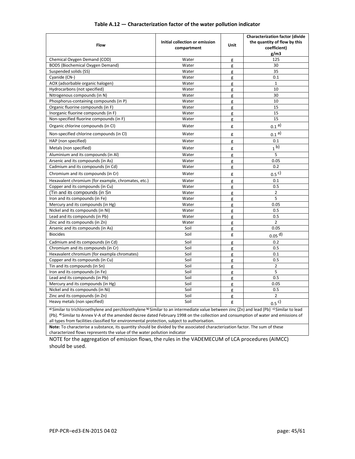| Flow                                                                                                                                                                                                                                                                                                                                                                                                     | Initial collection or emission<br>compartment | Unit           | Characterization factor (divide<br>the quantity of flow by this<br>coefficient)<br>g/m3 |  |
|----------------------------------------------------------------------------------------------------------------------------------------------------------------------------------------------------------------------------------------------------------------------------------------------------------------------------------------------------------------------------------------------------------|-----------------------------------------------|----------------|-----------------------------------------------------------------------------------------|--|
| Chemical Oxygen Demand (COD)                                                                                                                                                                                                                                                                                                                                                                             | Water                                         | g              | 125                                                                                     |  |
| BOD5 (Biochemical Oxygen Demand)                                                                                                                                                                                                                                                                                                                                                                         | Water                                         | g              | 30                                                                                      |  |
| Suspended solids (SS)                                                                                                                                                                                                                                                                                                                                                                                    | Water                                         | g              | 35                                                                                      |  |
| Cyanide (CN-)                                                                                                                                                                                                                                                                                                                                                                                            | Water                                         | g              | 0.1                                                                                     |  |
| AOX (adsorbable organic halogen)                                                                                                                                                                                                                                                                                                                                                                         | Water                                         | g              | $\mathbf 1$                                                                             |  |
| Hydrocarbons (not specified)                                                                                                                                                                                                                                                                                                                                                                             | Water                                         | g              | 10                                                                                      |  |
| Nitrogenous compounds (in N)                                                                                                                                                                                                                                                                                                                                                                             | Water                                         | g              | 30                                                                                      |  |
| Phosphorus-containing compounds (in P)                                                                                                                                                                                                                                                                                                                                                                   | Water                                         | g              | 10                                                                                      |  |
| Organic fluorine compounds (in F)                                                                                                                                                                                                                                                                                                                                                                        | Water<br>g                                    |                | 15                                                                                      |  |
| Inorganic fluorine compounds (in F)                                                                                                                                                                                                                                                                                                                                                                      | Water                                         | g              | 15                                                                                      |  |
| Non-specified fluorine compounds (in F)                                                                                                                                                                                                                                                                                                                                                                  | Water                                         | g              | 15                                                                                      |  |
| Organic chlorine compounds (in CI)                                                                                                                                                                                                                                                                                                                                                                       | Water                                         | g              | 0.1 <sup>a</sup>                                                                        |  |
| Non-specified chlorine compounds (in CI)                                                                                                                                                                                                                                                                                                                                                                 | Water                                         | g              | 0.1 <sup>a</sup>                                                                        |  |
| HAP (non specified)                                                                                                                                                                                                                                                                                                                                                                                      | Water                                         | g              | 0.1                                                                                     |  |
| Metals (non specified)                                                                                                                                                                                                                                                                                                                                                                                   | Water                                         | g              | 1 <sup>b</sup>                                                                          |  |
| Aluminium and its compounds (in Al)                                                                                                                                                                                                                                                                                                                                                                      | Water                                         | g              | 5                                                                                       |  |
| Arsenic and its compounds (in As)                                                                                                                                                                                                                                                                                                                                                                        | Water                                         | g              | 0.05                                                                                    |  |
| Cadmium and its compounds (in Cd)                                                                                                                                                                                                                                                                                                                                                                        | Water                                         | g              | 0.2                                                                                     |  |
| Chromium and its compounds (in Cr)                                                                                                                                                                                                                                                                                                                                                                       | Water                                         | g              | 0.5 <sup>c</sup>                                                                        |  |
| Hexavalent chromium (for example, chromates, etc.)                                                                                                                                                                                                                                                                                                                                                       | Water                                         | g              | 0.1                                                                                     |  |
| Copper and its compounds (in Cu)                                                                                                                                                                                                                                                                                                                                                                         | Water                                         | g              | 0.5                                                                                     |  |
| (Tin and its compounds (in Sn                                                                                                                                                                                                                                                                                                                                                                            | Water                                         | g              | $\overline{2}$                                                                          |  |
| Iron and its compounds (in Fe)                                                                                                                                                                                                                                                                                                                                                                           | Water                                         | g              | 5                                                                                       |  |
| Mercury and its compounds (in Hg)                                                                                                                                                                                                                                                                                                                                                                        | Water                                         | g              | 0.05                                                                                    |  |
| Nickel and its compounds (in Ni)                                                                                                                                                                                                                                                                                                                                                                         | Water                                         | g              | 0.5                                                                                     |  |
| Lead and its compounds (in Pb)                                                                                                                                                                                                                                                                                                                                                                           | Water                                         | g              | 0.5                                                                                     |  |
| Zinc and its compounds (in Zn)                                                                                                                                                                                                                                                                                                                                                                           | Water                                         | g              | $\overline{2}$                                                                          |  |
| Arsenic and its compounds (in As)                                                                                                                                                                                                                                                                                                                                                                        | Soil                                          | g              | 0.05                                                                                    |  |
| <b>Biocides</b>                                                                                                                                                                                                                                                                                                                                                                                          | Soil                                          | g              | $0.05$ <sup>d)</sup>                                                                    |  |
| Cadmium and its compounds (in Cd)                                                                                                                                                                                                                                                                                                                                                                        | Soil                                          | g              | 0.2                                                                                     |  |
| Chromium and its compounds (in Cr)                                                                                                                                                                                                                                                                                                                                                                       | Soil                                          | g              | 0.5                                                                                     |  |
| Hexavalent chromium (for exampla chromates)                                                                                                                                                                                                                                                                                                                                                              | Soil                                          | g              | 0.1                                                                                     |  |
| Copper and its compounds (in Cu)                                                                                                                                                                                                                                                                                                                                                                         | Soil                                          | g              | 0.5                                                                                     |  |
| Tin and its compounds (in Sn)                                                                                                                                                                                                                                                                                                                                                                            | Soil                                          | g              | $\overline{2}$                                                                          |  |
| Iron and its compounds (in Fe)                                                                                                                                                                                                                                                                                                                                                                           | Soil                                          | g              | 5                                                                                       |  |
| Lead and its compounds (in Pb)                                                                                                                                                                                                                                                                                                                                                                           | Soil                                          | g              | 0.5                                                                                     |  |
| Mercury and its compounds (in Hg)                                                                                                                                                                                                                                                                                                                                                                        | Soil                                          | g              | 0.05                                                                                    |  |
| Nickel and its compounds (in Ni)                                                                                                                                                                                                                                                                                                                                                                         | Soil                                          | g              | 0.5                                                                                     |  |
| Soil<br>Zinc and its compounds (in Zn)<br>g                                                                                                                                                                                                                                                                                                                                                              |                                               | $\overline{2}$ |                                                                                         |  |
| Soil<br>Heavy metals (non specified)<br>g<br>$0.5^{\circ}$                                                                                                                                                                                                                                                                                                                                               |                                               |                |                                                                                         |  |
| a) Similar to trichloroethylene and perchlorethylene b) Similar to an intermediate value between zinc (Zn) and lead (Pb) <sup>c)</sup> Similar to lead<br>(Pb). <sup>d</sup> )Similar to Annex V-A of the amended decree dated February 1998 on the collection and consumption of water and emissions of<br>all types from facilities classified for environmental protection, subject to authorisation. |                                               |                |                                                                                         |  |
| Note: To characterise a substance, its quantity should be divided by the associated characterization factor. The sum of these<br>characterized flows represents the value of the water pollution indicator                                                                                                                                                                                               |                                               |                |                                                                                         |  |

#### **Table A.12 — Characterization factor of the water pollution indicator**

characterized flows represents the value of the water pollution indicator NOTE for the aggregation of emission flows, the rules in the VADEMECUM of LCA procedures (AIMCC) should be used.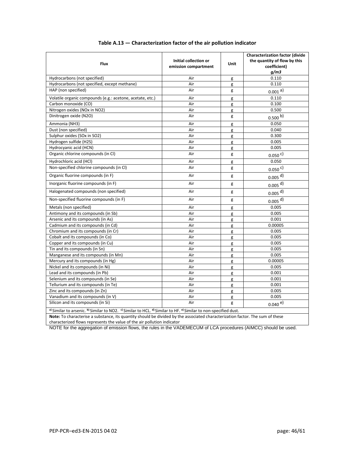| <b>Flux</b>                                                                                                      | Initial collection or<br>emission compartment | Unit | <b>Characterization factor (divide</b><br>the quantity of flow by this<br>coefficient)<br>q/m3 |  |  |
|------------------------------------------------------------------------------------------------------------------|-----------------------------------------------|------|------------------------------------------------------------------------------------------------|--|--|
| Hydrocarbons (not specified)                                                                                     | Air                                           | g    | 0.110                                                                                          |  |  |
| Hydrocarbons (not specified, except methane)                                                                     | Air                                           | g    | 0.110                                                                                          |  |  |
| HAP (non specified)                                                                                              | Air                                           | g    | $0.001$ <sup>a)</sup>                                                                          |  |  |
| Volatile organic compounds (e.g.: acetone, acetate, etc.)                                                        | Air                                           | g    | 0.110                                                                                          |  |  |
| Carbon monoxide (CO)                                                                                             | Air                                           | g    | 0.100                                                                                          |  |  |
| Nitrogen oxides (NOx in NO2)                                                                                     | Air                                           | g    | 0.500                                                                                          |  |  |
| Dinitrogen oxide (N2O)                                                                                           | Air                                           | g    | 0.500 b)                                                                                       |  |  |
| Ammonia (NH3)                                                                                                    | Air                                           | g    | 0.050                                                                                          |  |  |
| Dust (non specified)                                                                                             | Air                                           | g    | 0.040                                                                                          |  |  |
| Sulphur oxides (SOx in SO2)                                                                                      | Air                                           | g    | 0.300                                                                                          |  |  |
| Hydrogen sulfide (H2S)                                                                                           | Air                                           | g    | 0.005                                                                                          |  |  |
| Hydrocyanic acid (HCN)                                                                                           | Air                                           | g    | 0.005                                                                                          |  |  |
| Organic chlorine compounds (in Cl)                                                                               | Air                                           | g    | 0.050 c)                                                                                       |  |  |
| Hydrochloric acid (HCl)                                                                                          | Air                                           | g    | 0.050                                                                                          |  |  |
| Non-specified chlorine compounds (in Cl)                                                                         | Air                                           | g    | $0.050$ <sup>c)</sup>                                                                          |  |  |
| Organic fluorine compounds (in F)                                                                                | Air                                           | g    | $0.005$ <sup>d)</sup>                                                                          |  |  |
| Inorganic fluorine compounds (in F)                                                                              | Air                                           | g    | $0.005$ <sup>d)</sup>                                                                          |  |  |
| Halogenated compounds (non specified)                                                                            | Air                                           | g    | $0.005$ <sup>d)</sup>                                                                          |  |  |
| Non-specified fluorine compounds (in F)                                                                          | Air                                           | g    | $0.005$ <sup>d)</sup>                                                                          |  |  |
| Metals (non specified)                                                                                           | Air                                           | g    | 0.005                                                                                          |  |  |
| Antimony and its compounds (in Sb)                                                                               | Air                                           | g    | 0.005                                                                                          |  |  |
| Arsenic and its compounds (in As)                                                                                | Air                                           | g    | 0.001                                                                                          |  |  |
| Cadmium and its compounds (in Cd)                                                                                | Air                                           | g    | 0.00005                                                                                        |  |  |
| Chromium and its compounds (in Cr)                                                                               | Air                                           | g    | 0.005                                                                                          |  |  |
| Cobalt and its compounds (in Co)                                                                                 | Air                                           | g    | 0.005                                                                                          |  |  |
| Copper and its compounds (in Cu)                                                                                 | Air                                           | g    | 0.005                                                                                          |  |  |
| Tin and its compounds (in Sn)                                                                                    | Air                                           | g    | 0.005                                                                                          |  |  |
| Manganese and its compounds (in Mn)                                                                              | Air                                           | g    | 0.005                                                                                          |  |  |
| Mercury and its compounds (in Hg)                                                                                | Air                                           | g    | 0.00005                                                                                        |  |  |
| Nickel and its compounds (in Ni)                                                                                 | Air                                           | g    | 0.005                                                                                          |  |  |
| Lead and its compounds (in Pb)                                                                                   | Air                                           | g    | 0.001                                                                                          |  |  |
| Selenium and its compounds (in Se)                                                                               | Air                                           | g    | 0.001                                                                                          |  |  |
| Tellurium and its compounds (in Te)                                                                              | Air                                           | g    | 0.001                                                                                          |  |  |
| Zinc and its compounds (in Zn)                                                                                   | Air                                           | g    | 0.005                                                                                          |  |  |
| Vanadium and its compounds (in V)                                                                                | Air                                           | g    | 0.005                                                                                          |  |  |
| Silicon and its compounds (in Si)                                                                                | Air                                           | g    | $0.040e$ <sup>e)</sup>                                                                         |  |  |
| a) Similar to arsenic. b) Similar to NO2. c) Similar to HCL. d) Similar to HF. e) Similar to non-specified dust. |                                               |      |                                                                                                |  |  |

#### **Table A.13 — Characterization factor of the air pollution indicator**

**Note:** To characterise a substance, its quantity should be divided by the associated characterization factor. The sum of these characterized flows represents the value of the air pollution indicator

NOTE for the aggregation of emission flows, the rules in the VADEMECUM of LCA procedures (AIMCC) should be used.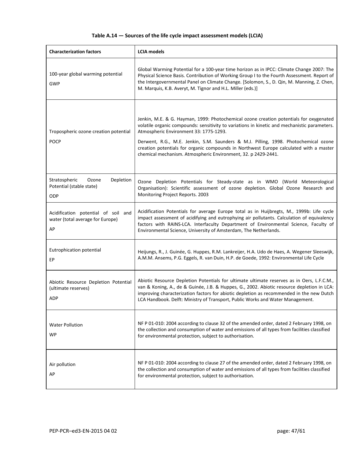#### **Table A.14 — Sources of the life cycle impact assessment models (LCIA)**

| <b>Characterization factors</b>                                               | <b>LCIA</b> models                                                                                                                                                                                                                                                                                                                                                                                                                                                                 |
|-------------------------------------------------------------------------------|------------------------------------------------------------------------------------------------------------------------------------------------------------------------------------------------------------------------------------------------------------------------------------------------------------------------------------------------------------------------------------------------------------------------------------------------------------------------------------|
| 100-year global warming potential<br><b>GWP</b>                               | Global Warming Potential for a 100-year time horizon as in IPCC: Climate Change 2007: The<br>Physical Science Basis. Contribution of Working Group I to the Fourth Assessment. Report of<br>the Intergovernmental Panel on Climate Change. [Solomon, S., D. Qin, M. Manning, Z. Chen,<br>M. Marquis, K.B. Averyt, M. Tignor and H.L. Miller (eds.)]                                                                                                                                |
| Tropospheric ozone creation potential<br><b>POCP</b>                          | Jenkin, M.E. & G. Hayman, 1999: Photochemical ozone creation potentials for oxygenated<br>volatile organic compounds: sensitivity to variations in kinetic and mechanistic parameters.<br>Atmospheric Environment 33: 1775-1293.<br>Derwent, R.G., M.E. Jenkin, S.M. Saunders & M.J. Pilling, 1998. Photochemical ozone<br>creation potentials for organic compounds in Northwest Europe calculated with a master<br>chemical mechanism. Atmospheric Environment, 32. p 2429-2441. |
| Depletion<br>Stratospheric<br>Ozone<br>Potential (stable state)<br><b>ODP</b> | Ozone Depletion Potentials for Steady-state as in WMO (World Meteorological<br>Organisation): Scientific assessment of ozone depletion. Global Ozone Research and<br>Monitoring Project Reports. 2003                                                                                                                                                                                                                                                                              |
| Acidification potential of soil and<br>water (total average for Europe)<br>AP | Acidification Potentials for average Europe total as in Huijbregts, M., 1999b: Life cycle<br>impact assessment of acidifying and eutrophying air pollutants. Calculation of equivalency<br>factors with RAINS-LCA. Interfaculty Department of Environmental Science, Faculty of<br>Environmental Science, University of Amsterdam, The Netherlands.                                                                                                                                |
| Eutrophication potential<br>EP                                                | Heijungs, R., J. Guinée, G. Huppes, R.M. Lankreijer, H.A. Udo de Haes, A. Wegener Sleeswijk,<br>A.M.M. Ansems, P.G. Eggels, R. van Duin, H.P. de Goede, 1992: Environmental Life Cycle                                                                                                                                                                                                                                                                                             |
| Abiotic Resource Depletion Potential<br>(ultimate reserves)<br><b>ADP</b>     | Abiotic Resource Depletion Potentials for ultimate ultimate reserves as in Oers, L.F.C.M.,<br>van & Koning, A., de & Guinée, J.B. & Huppes, G., 2002. Abiotic resource depletion in LCA:<br>improving characterization factors for abiotic depletion as recommended in the new Dutch<br>LCA Handbook. Delft: Ministry of Transport, Public Works and Water Management.                                                                                                             |
| <b>Water Pollution</b><br>WP                                                  | NF P 01-010: 2004 according to clause 32 of the amended order, dated 2 February 1998, on<br>the collection and consumption of water and emissions of all types from facilities classified<br>for environmental protection, subject to authorisation.                                                                                                                                                                                                                               |
| Air pollution<br>AP                                                           | NF P 01-010: 2004 according to clause 27 of the amended order, dated 2 February 1998, on<br>the collection and consumption of water and emissions of all types from facilities classified<br>for environmental protection, subject to authorisation.                                                                                                                                                                                                                               |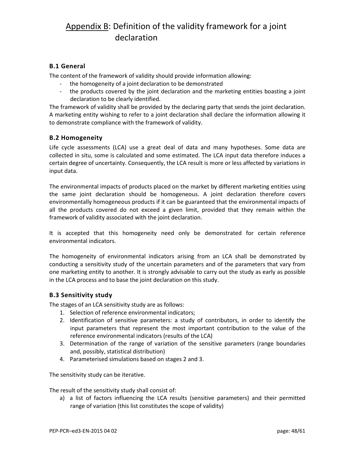## <span id="page-47-0"></span>Appendix B: Definition of the validity framework for a joint declaration

#### **B.1 General**

The content of the framework of validity should provide information allowing:

- the homogeneity of a joint declaration to be demonstrated
- the products covered by the joint declaration and the marketing entities boasting a joint declaration to be clearly identified.

The framework of validity shall be provided by the declaring party that sends the joint declaration. A marketing entity wishing to refer to a joint declaration shall declare the information allowing it to demonstrate compliance with the framework of validity.

#### **B.2 Homogeneity**

Life cycle assessments (LCA) use a great deal of data and many hypotheses. Some data are collected in situ, some is calculated and some estimated. The LCA input data therefore induces a certain degree of uncertainty. Consequently, the LCA result is more or less affected by variations in input data.

The environmental impacts of products placed on the market by different marketing entities using the same joint declaration should be homogeneous. A joint declaration therefore covers environmentally homogeneous products if it can be guaranteed that the environmental impacts of all the products covered do not exceed a given limit, provided that they remain within the framework of validity associated with the joint declaration.

It is accepted that this homogeneity need only be demonstrated for certain reference environmental indicators.

The homogeneity of environmental indicators arising from an LCA shall be demonstrated by conducting a sensitivity study of the uncertain parameters and of the parameters that vary from one marketing entity to another. It is strongly advisable to carry out the study as early as possible in the LCA process and to base the joint declaration on this study.

#### **B.3 Sensitivity study**

The stages of an LCA sensitivity study are as follows:

- 1. Selection of reference environmental indicators;
- 2. Identification of sensitive parameters: a study of contributors, in order to identify the input parameters that represent the most important contribution to the value of the reference environmental indicators (results of the LCA)
- 3. Determination of the range of variation of the sensitive parameters (range boundaries and, possibly, statistical distribution)
- 4. Parameterised simulations based on stages 2 and 3.

The sensitivity study can be iterative.

The result of the sensitivity study shall consist of:

a) a list of factors influencing the LCA results (sensitive parameters) and their permitted range of variation (this list constitutes the scope of validity)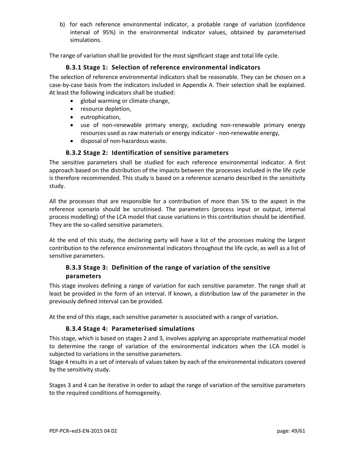b) for each reference environmental indicator, a probable range of variation (confidence interval of 95%) in the environmental indicator values, obtained by parameterised simulations.

The range of variation shall be provided for the most significant stage and total life cycle.

#### **B.3.1 Stage 1: Selection of reference environmental indicators**

The selection of reference environmental indicators shall be reasonable. They can be chosen on a case-by-case basis from the indicators included in Appendix A. Their selection shall be explained. At least the following indicators shall be studied:

- global warming or climate change,
- resource depletion,
- eutrophication,
- use of non-renewable primary energy, excluding non-renewable primary energy resources used as raw materials or energy indicator - non-renewable energy,
- disposal of non-hazardous waste.

#### **B.3.2 Stage 2: Identification of sensitive parameters**

The sensitive parameters shall be studied for each reference environmental indicator. A first approach based on the distribution of the impacts between the processes included in the life cycle is therefore recommended. This study is based on a reference scenario described in the sensitivity study.

All the processes that are responsible for a contribution of more than 5% to the aspect in the reference scenario should be scrutinised. The parameters (process input or output, internal process modelling) of the LCA model that cause variations in this contribution should be identified. They are the so-called sensitive parameters.

At the end of this study, the declaring party will have a list of the processes making the largest contribution to the reference environmental indicators throughout the life cycle, as well as a list of sensitive parameters.

#### **B.3.3 Stage 3: Definition of the range of variation of the sensitive parameters**

This stage involves defining a range of variation for each sensitive parameter. The range shall at least be provided in the form of an interval. If known, a distribution law of the parameter in the previously defined interval can be provided.

At the end of this stage, each sensitive parameter is associated with a range of variation.

#### **B.3.4 Stage 4: Parameterised simulations**

This stage, which is based on stages 2 and 3, involves applying an appropriate mathematical model to determine the range of variation of the environmental indicators when the LCA model is subjected to variations in the sensitive parameters.

Stage 4 results in a set of intervals of values taken by each of the environmental indicators covered by the sensitivity study.

Stages 3 and 4 can be iterative in order to adapt the range of variation of the sensitive parameters to the required conditions of homogeneity.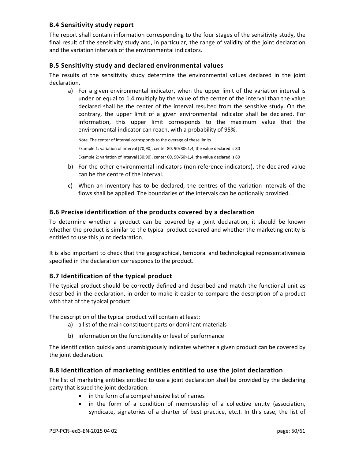#### **B.4 Sensitivity study report**

The report shall contain information corresponding to the four stages of the sensitivity study, the final result of the sensitivity study and, in particular, the range of validity of the joint declaration and the variation intervals of the environmental indicators.

#### **B.5 Sensitivity study and declared environmental values**

The results of the sensitivity study determine the environmental values declared in the joint declaration.

a) For a given environmental indicator, when the upper limit of the variation interval is under or equal to 1,4 multiply by the value of the center of the interval than the value declared shall be the center of the interval resulted from the sensitive study. On the contrary, the upper limit of a given environmental indicator shall be declared. For information, this upper limit corresponds to the maximum value that the environmental indicator can reach, with a probability of 95%.

Note The center of interval corresponds to the overage of these limits. Example 1: variation of interval [70;90], center 80, 90/80<1,4, the value declared is 80 Example 2: variation of interval [30;90], center 60, 90/60>1,4, the value declared is 80

- b) For the other environmental indicators (non-reference indicators), the declared value can be the centre of the interval.
- c) When an inventory has to be declared, the centres of the variation intervals of the flows shall be applied. The boundaries of the intervals can be optionally provided.

#### **B.6 Precise identification of the products covered by a declaration**

To determine whether a product can be covered by a joint declaration, it should be known whether the product is similar to the typical product covered and whether the marketing entity is entitled to use this joint declaration.

It is also important to check that the geographical, temporal and technological representativeness specified in the declaration corresponds to the product.

#### **B.7 Identification of the typical product**

The typical product should be correctly defined and described and match the functional unit as described in the declaration, in order to make it easier to compare the description of a product with that of the typical product.

The description of the typical product will contain at least:

- a) a list of the main constituent parts or dominant materials
- b) information on the functionality or level of performance

The identification quickly and unambiguously indicates whether a given product can be covered by the joint declaration.

#### **B.8 Identification of marketing entities entitled to use the joint declaration**

The list of marketing entities entitled to use a joint declaration shall be provided by the declaring party that issued the joint declaration:

- in the form of a comprehensive list of names
- in the form of a condition of membership of a collective entity (association, syndicate, signatories of a charter of best practice, etc.). In this case, the list of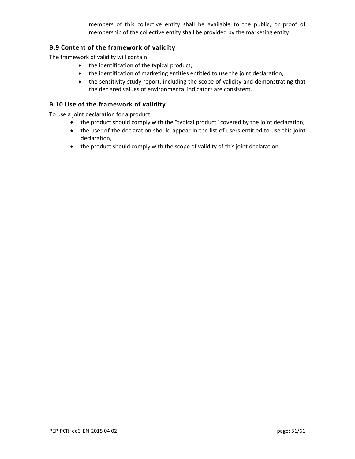members of this collective entity shall be available to the public, or proof of membership of the collective entity shall be provided by the marketing entity.

#### **B.9 Content of the framework of validity**

The framework of validity will contain:

- the identification of the typical product,
- the identification of marketing entities entitled to use the joint declaration,
- the sensitivity study report, including the scope of validity and demonstrating that the declared values of environmental indicators are consistent.

#### **B.10 Use of the framework of validity**

To use a joint declaration for a product:

- the product should comply with the "typical product" covered by the joint declaration,
- the user of the declaration should appear in the list of users entitled to use this joint declaration,
- the product should comply with the scope of validity of this joint declaration.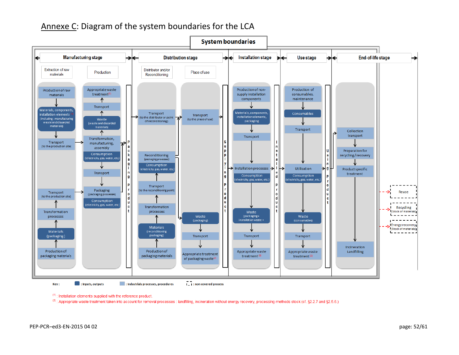## Annexe C: Diagram of the system boundaries for the LCA

<span id="page-51-0"></span>

 $(1)$ : Installation elements supplied with the reference product.

(2.5.6.) Appropriate waste treatment taken into account for removal processes : landfilling, incineration without energy recovery, processing methods stock (cf. §2.2.7 and §2.5.6.)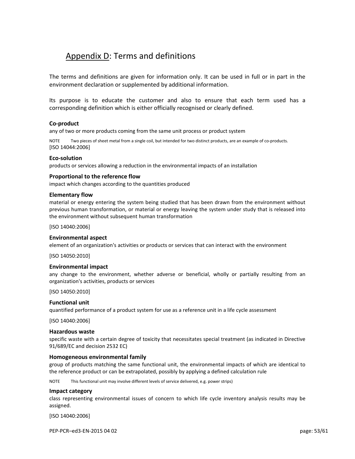## <span id="page-52-0"></span>Appendix D: Terms and definitions

The terms and definitions are given for information only. It can be used in full or in part in the environment declaration or supplemented by additional information.

Its purpose is to educate the customer and also to ensure that each term used has a corresponding definition which is either officially recognised or clearly defined.

#### **Co-product**

any of two or more products coming from the same unit process or product system

Two pieces of sheet metal from a single coil, but intended for two distinct products, are an example of co-products. [ISO 14044:2006]

#### **Eco-solution**

products or services allowing a reduction in the environmental impacts of an installation

#### **Proportional to the reference flow**

impact which changes according to the quantities produced

#### **Elementary flow**

material or energy entering the system being studied that has been drawn from the environment without previous human transformation, or material or energy leaving the system under study that is released into the environment without subsequent human transformation

[ISO 14040:2006]

#### **Environmental aspect**

element of an organization's activities or products or services that can interact with the environment

[ISO 14050:2010]

#### **Environmental impact**

any change to the environment, whether adverse or beneficial, wholly or partially resulting from an organization's activities, products or services

[ISO 14050:2010]

#### **Functional unit**

quantified performance of a product system for use as a reference unit in a life cycle assessment

[ISO 14040:2006]

#### **Hazardous waste**

specific waste with a certain degree of toxicity that necessitates special treatment (as indicated in Directive 91/689/EC and decision 2532 EC)

#### **Homogeneous environmental family**

group of products matching the same functional unit, the environmental impacts of which are identical to the reference product or can be extrapolated, possibly by applying a defined calculation rule

NOTE This functional unit may involve different levels of service delivered, e.g. power strips)

#### **Impact category**

class representing environmental issues of concern to which life cycle inventory analysis results may be assigned.

[ISO 14040:2006]

PEP-PCR–ed3-EN-2015 04 02 page: 53/61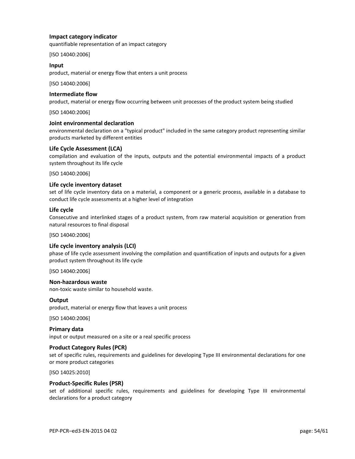#### **Impact category indicator**

quantifiable representation of an impact category

[ISO 14040:2006]

#### **Input**

product, material or energy flow that enters a unit process

[ISO 14040:2006]

### **Intermediate flow**

product, material or energy flow occurring between unit processes of the product system being studied

[ISO 14040:2006]

#### **Joint environmental declaration**

environmental declaration on a "typical product" included in the same category product representing similar products marketed by different entities

#### **Life Cycle Assessment (LCA)**

compilation and evaluation of the inputs, outputs and the potential environmental impacts of a product system throughout its life cycle

[ISO 14040:2006]

#### **Life cycle inventory dataset**

set of life cycle inventory data on a material, a component or a generic process, available in a database to conduct life cycle assessments at a higher level of integration

#### **Life cycle**

Consecutive and interlinked stages of a product system, from raw material acquisition or generation from natural resources to final disposal

[ISO 14040:2006]

#### **Life cycle inventory analysis (LCI)**

phase of life cycle assessment involving the compilation and quantification of inputs and outputs for a given product system throughout its life cycle

[ISO 14040:2006]

#### **Non-hazardous waste**

non-toxic waste similar to household waste.

#### **Output**

product, material or energy flow that leaves a unit process

[ISO 14040:2006]

**Primary data** input or output measured on a site or a real specific process

#### **Product Category Rules (PCR)**

set of specific rules, requirements and guidelines for developing Type III environmental declarations for one or more product categories

[ISO 14025:2010]

#### **Product-Specific Rules (PSR)**

set of additional specific rules, requirements and guidelines for developing Type III environmental declarations for a product category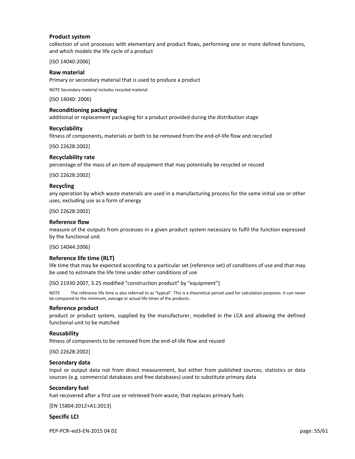#### **Product system**

collection of unit processes with elementary and product flows, performing one or more defined functions, and which models the life cycle of a product

[ISO 14040:2006]

#### **Raw material**

Primary or secondary material that is used to produce a product

NOTE Secondary material includes recycled material

[ISO 14040: 2006]

#### **Reconditioning packaging**

additional or replacement packaging for a product provided during the distribution stage

#### **Recyclability**

fitness of components, materials or both to be removed from the end-of-life flow and recycled

[ISO 22628:2002]

#### **Recyclability rate**

percentage of the mass of an item of equipment that may potentially be recycled or reused

[ISO 22628:2002]

#### **Recycling**

any operation by which waste materials are used in a manufacturing process for the same initial use or other uses, excluding use as a form of energy

[ISO 22628:2002]

#### **Reference flow**

measure of the outputs from processes in a given product system necessary to fulfil the function expressed by the functional unit

[ISO 14044:2006]

#### **Reference life time (RLT)**

life time that may be expected according to a particular set (reference set) of conditions of use and that may be used to estimate the life time under other conditions of use

[ISO 21930:2007, 3.25 modified "construction product" by "equipment"]

NOTE The reference life time is also referred to as "typical". This is a theoretical period used for calculation purposes. It can never be compared to the minimum, average or actual life times of the products.

#### **Reference product**

product or product system, supplied by the manufacturer, modelled in the LCA and allowing the defined functional unit to be matched

#### **Reusability**

fitness of components to be removed from the end-of-life flow and reused

[ISO 22628:2002]

#### **Secondary data**

Input or output data not from direct measurement, but either from published sources, statistics or data sources (e.g. commercial databases and free databases) used to substitute primary data

#### **Secondary fuel**

fuel recovered after a first use or retrieved from waste, that replaces primary fuels

[EN 15804:2012+A1:2013]

#### **Specific LCI**

PEP-PCR–ed3-EN-2015 04 02 page: 55/61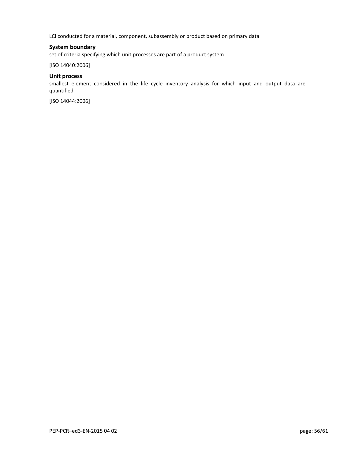LCI conducted for a material, component, subassembly or product based on primary data

#### **System boundary**

set of criteria specifying which unit processes are part of a product system

[ISO 14040:2006]

#### **Unit process**

smallest element considered in the life cycle inventory analysis for which input and output data are quantified

[ISO 14044:2006]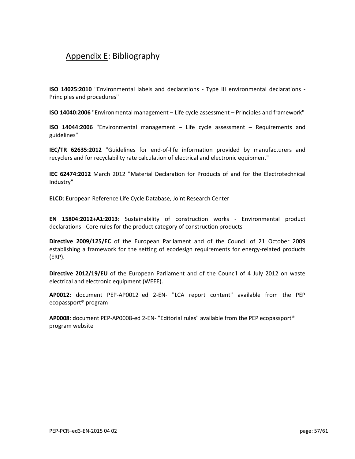## <span id="page-56-0"></span>Appendix E: Bibliography

**ISO 14025:2010** "Environmental labels and declarations - Type III environmental declarations - Principles and procedures"

**ISO 14040:2006** "Environmental management – Life cycle assessment – Principles and framework"

**ISO 14044:2006** "Environmental management – Life cycle assessment – Requirements and guidelines"

**IEC/TR 62635:2012** "Guidelines for end-of-life information provided by manufacturers and recyclers and for recyclability rate calculation of electrical and electronic equipment"

**IEC 62474:2012** March 2012 "Material Declaration for Products of and for the Electrotechnical Industry"

**ELCD**: European Reference Life Cycle Database, Joint Research Center

**EN 15804:2012+A1:2013**: Sustainability of construction works - Environmental product declarations - Core rules for the product category of construction products

**Directive 2009/125/EC** of the European Parliament and of the Council of 21 October 2009 establishing a framework for the setting of ecodesign requirements for energy-related products (ERP).

**Directive 2012/19/EU** of the European Parliament and of the Council of 4 July 2012 on waste electrical and electronic equipment (WEEE).

**AP0012**: document PEP-AP0012–ed 2-EN- "LCA report content" available from the PEP ecopassport® program

**AP0008**: document PEP-AP0008-ed 2-EN- "Editorial rules" available from the PEP ecopassport® program website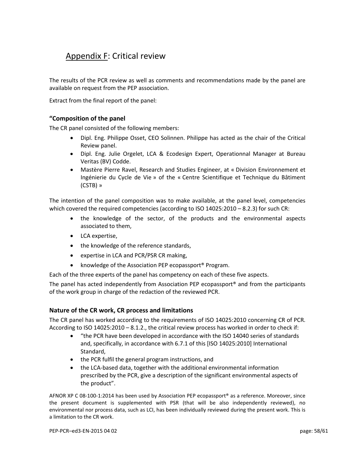## <span id="page-57-0"></span>Appendix F: Critical review

The results of the PCR review as well as comments and recommendations made by the panel are available on request from the PEP association.

Extract from the final report of the panel:

#### **"Composition of the panel**

The CR panel consisted of the following members:

- Dipl. Eng. Philippe Osset, CEO Solinnen. Philippe has acted as the chair of the Critical Review panel.
- Dipl. Eng. Julie Orgelet, LCA & Ecodesign Expert, Operationnal Manager at Bureau Veritas (BV) Codde.
- Mastère Pierre Ravel, Research and Studies Engineer, at « Division Environnement et Ingénierie du Cycle de Vie » of the « Centre Scientifique et Technique du Bâtiment (CSTB) »

The intention of the panel composition was to make available, at the panel level, competencies which covered the required competencies (according to ISO 14025:2010 – 8.2.3) for such CR:

- the knowledge of the sector, of the products and the environmental aspects associated to them,
- LCA expertise,
- the knowledge of the reference standards,
- expertise in LCA and PCR/PSR CR making,
- knowledge of the Association PEP ecopassport<sup>®</sup> Program.

Each of the three experts of the panel has competency on each of these five aspects.

The panel has acted independently from Association PEP ecopassport<sup>®</sup> and from the participants of the work group in charge of the redaction of the reviewed PCR.

#### **Nature of the CR work, CR process and limitations**

The CR panel has worked according to the requirements of ISO 14025:2010 concerning CR of PCR. According to ISO 14025:2010 – 8.1.2., the critical review process has worked in order to check if:

- "the PCR have been developed in accordance with the ISO 14040 series of standards and, specifically, in accordance with 6.7.1 of this [ISO 14025:2010] International Standard,
- the PCR fulfil the general program instructions, and
- the LCA-based data, together with the additional environmental information prescribed by the PCR, give a description of the significant environmental aspects of the product".

AFNOR XP C 08-100-1:2014 has been used by Association PEP ecopassport® as a reference. Moreover, since the present document is supplemented with PSR (that will be also independently reviewed), no environmental nor process data, such as LCI, has been individually reviewed during the present work. This is a limitation to the CR work.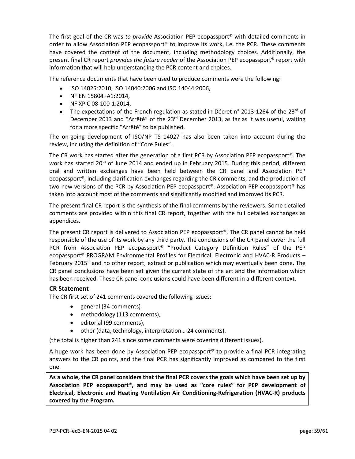The first goal of the CR was *to provide* Association PEP ecopassport® with detailed comments in order to allow Association PEP ecopassport® to improve its work, i.e. the PCR. These comments have covered the content of the document, including methodology choices. Additionally, the present final CR report *provides the future reader* of the Association PEP ecopassport® report with information that will help understanding the PCR content and choices.

The reference documents that have been used to produce comments were the following:

- ISO 14025:2010, ISO 14040:2006 and ISO 14044:2006,
- NF EN 15804+A1:2014,
- NF XP C 08-100-1:2014,
- The expectations of the French regulation as stated in Décret n° 2013-1264 of the 23<sup>rd</sup> of December 2013 and "Arrêté" of the 23<sup>rd</sup> December 2013, as far as it was useful, waiting for a more specific "Arrêté" to be published.

The on-going development of ISO/NP TS 14027 has also been taken into account during the review, including the definition of "Core Rules".

The CR work has started after the generation of a first PCR by Association PEP ecopassport®. The work has started 20<sup>th</sup> of June 2014 and ended up in February 2015. During this period, different oral and written exchanges have been held between the CR panel and Association PEP ecopassport®, including clarification exchanges regarding the CR comments, and the production of two new versions of the PCR by Association PEP ecopassport®. Association PEP ecopassport® has taken into account most of the comments and significantly modified and improved its PCR.

The present final CR report is the synthesis of the final comments by the reviewers. Some detailed comments are provided within this final CR report, together with the full detailed exchanges as appendices.

The present CR report is delivered to Association PEP ecopassport®. The CR panel cannot be held responsible of the use of its work by any third party. The conclusions of the CR panel cover the full PCR from Association PEP ecopassport® "Product Category Definition Rules" of the PEP ecopassport® PROGRAM Environmental Profiles for Electrical, Electronic and HVAC-R Products – February 2015" and no other report, extract or publication which may eventually been done. The CR panel conclusions have been set given the current state of the art and the information which has been received. These CR panel conclusions could have been different in a different context.

#### **CR Statement**

The CR first set of 241 comments covered the following issues:

- general (34 comments)
- methodology (113 comments),
- editorial (99 comments),
- other (data, technology, interpretation… 24 comments).

(the total is higher than 241 since some comments were covering different issues).

A huge work has been done by Association PEP ecopassport® to provide a final PCR integrating answers to the CR points, and the final PCR has significantly improved as compared to the first one.

As a whole, the CR panel considers that the final PCR covers the goals which have been set up by **Association PEP ecopassport®, and may be used as "core rules" for PEP development of Electrical, Electronic and Heating Ventilation Air Conditioning-Refrigeration (HVAC-R) products covered by the Program.**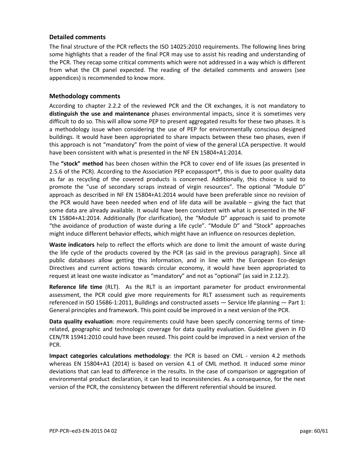#### **Detailed comments**

The final structure of the PCR reflects the ISO 14025:2010 requirements. The following lines bring some highlights that a reader of the final PCR may use to assist his reading and understanding of the PCR. They recap some critical comments which were not addressed in a way which is different from what the CR panel expected. The reading of the detailed comments and answers (see appendices) is recommended to know more.

#### **Methodology comments**

According to chapter 2.2.2 of the reviewed PCR and the CR exchanges, it is not mandatory to **distinguish the use and maintenance** phases environmental impacts, since it is sometimes very difficult to do so. This will allow some PEP to present aggregated results for these two phases. It is a methodology issue when considering the use of PEP for environmentally conscious designed buildings. It would have been appropriated to share impacts between these two phases, even if this approach is not "mandatory" from the point of view of the general LCA perspective. It would have been consistent with what is presented in the NF EN 15804+A1:2014.

The **"stock" method** has been chosen within the PCR to cover end of life issues (as presented in 2.5.6 of the PCR). According to the Association PEP ecopassport®, this is due to poor quality data as far as recycling of the covered products is concerned. Additionally, this choice is said to promote the "use of secondary scraps instead of virgin resources". The optional "Module D" approach as described in NF EN 15804+A1:2014 would have been preferable since no revision of the PCR would have been needed when end of life data will be available – giving the fact that some data are already available. It would have been consistent with what is presented in the NF EN 15804+A1:2014. Additionally (for clarification), the "Module D" approach is said to promote "the avoidance of production of waste during a life cycle". "Module D" and "Stock" approaches might induce different behavior effects, which might have an influence on resources depletion.

**Waste indicators** help to reflect the efforts which are done to limit the amount of waste during the life cycle of the products covered by the PCR (as said in the previous paragraph). Since all public databases allow getting this information, and in line with the European Eco-design Directives and current actions towards circular economy, it would have been appropriated to request at least one waste indicator as "mandatory" and not as "optional" (as said in 2.12.2).

**Reference life time** (RLT). As the RLT is an important parameter for product environmental assessment, the PCR could give more requirements for RLT assessment such as requirements referenced in ISO 15686-1:2011, Buildings and constructed assets — Service life planning — Part 1: General principles and framework. This point could be improved in a next version of the PCR.

**Data quality evaluation**: more requirements could have been specify concerning terms of timerelated, geographic and technologic coverage for data quality evaluation. Guideline given in FD CEN/TR 15941:2010 could have been reused. This point could be improved in a next version of the PCR.

**Impact categories calculations methodology**: the PCR is based on CML - version 4.2 methods whereas EN 15804+A1 (2014) is based on version 4.1 of CML method. It induced some minor deviations that can lead to difference in the results. In the case of comparison or aggregation of environmental product declaration, it can lead to inconsistencies. As a consequence, for the next version of the PCR, the consistency between the different referential should be insured.